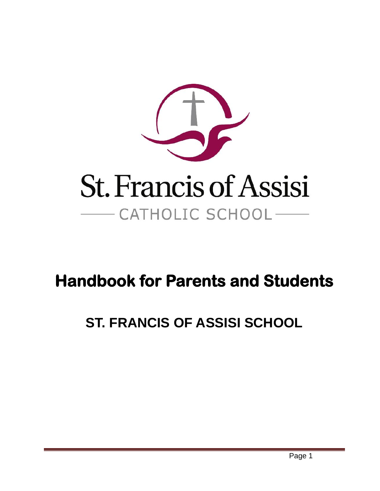

# **Handbook for Parents and Students**

# **ST. FRANCIS OF ASSISI SCHOOL**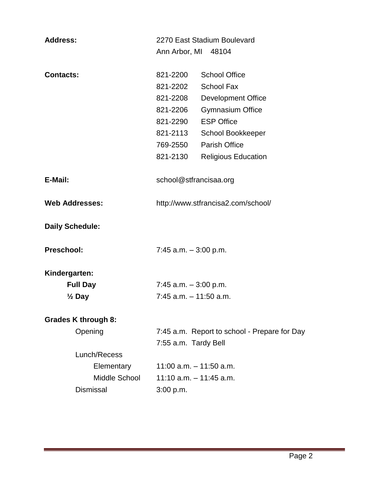| <b>Address:</b>       |                            | 2270 East Stadium Boulevard        |                                              |
|-----------------------|----------------------------|------------------------------------|----------------------------------------------|
|                       |                            | Ann Arbor, MI 48104                |                                              |
| <b>Contacts:</b>      |                            | 821-2200                           | <b>School Office</b>                         |
|                       |                            | 821-2202                           | <b>School Fax</b>                            |
|                       |                            | 821-2208                           | <b>Development Office</b>                    |
|                       |                            | 821-2206                           | <b>Gymnasium Office</b>                      |
|                       |                            | 821-2290                           | <b>ESP Office</b>                            |
|                       |                            | 821-2113                           | School Bookkeeper                            |
|                       |                            | 769-2550                           | <b>Parish Office</b>                         |
|                       |                            | 821-2130                           | <b>Religious Education</b>                   |
| E-Mail:               |                            | school@stfrancisaa.org             |                                              |
| <b>Web Addresses:</b> |                            | http://www.stfrancisa2.com/school/ |                                              |
|                       | <b>Daily Schedule:</b>     |                                    |                                              |
| <b>Preschool:</b>     |                            | 7:45 a.m. $-3:00$ p.m.             |                                              |
| Kindergarten:         |                            |                                    |                                              |
| <b>Full Day</b>       |                            | $7:45$ a.m. $-3:00$ p.m.           |                                              |
| $\frac{1}{2}$ Day     |                            | $7:45$ a.m. $-11:50$ a.m.          |                                              |
|                       | <b>Grades K through 8:</b> |                                    |                                              |
|                       | Opening                    |                                    | 7:45 a.m. Report to school - Prepare for Day |
|                       |                            | 7:55 a.m. Tardy Bell               |                                              |
|                       | Lunch/Recess               |                                    |                                              |
|                       | Elementary                 |                                    | 11:00 a.m. $-$ 11:50 a.m.                    |
|                       | Middle School              |                                    | 11:10 a.m. - 11:45 a.m.                      |
|                       | <b>Dismissal</b>           | 3:00 p.m.                          |                                              |
|                       |                            |                                    |                                              |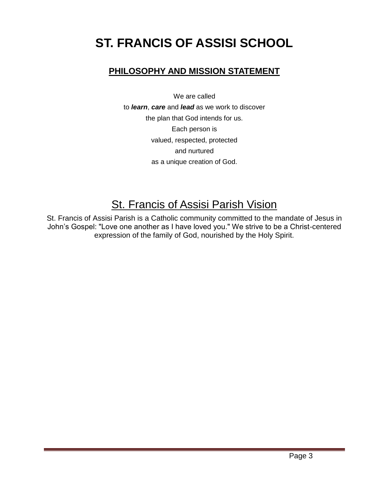# **ST. FRANCIS OF ASSISI SCHOOL**

# **PHILOSOPHY AND MISSION STATEMENT**

We are called

to *learn*, *care* and *lead* as we work to discover the plan that God intends for us. Each person is valued, respected, protected and nurtured as a unique creation of God.

# St. Francis of Assisi Parish Vision

St. Francis of Assisi Parish is a Catholic community committed to the mandate of Jesus in John's Gospel: "Love one another as I have loved you." We strive to be a Christ-centered expression of the family of God, nourished by the Holy Spirit.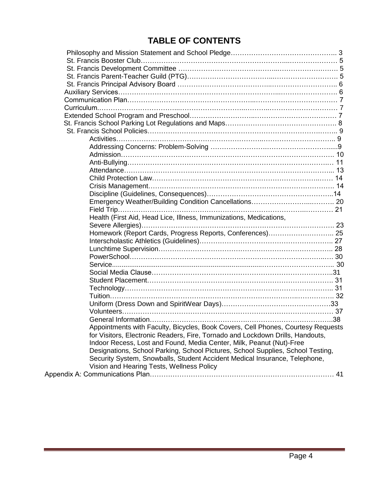# **TABLE OF CONTENTS**

| Health (First Aid, Head Lice, Illness, Immunizations, Medications,               |  |
|----------------------------------------------------------------------------------|--|
| Homework (Report Cards, Progress Reports, Conferences) 25                        |  |
|                                                                                  |  |
|                                                                                  |  |
|                                                                                  |  |
|                                                                                  |  |
|                                                                                  |  |
|                                                                                  |  |
|                                                                                  |  |
|                                                                                  |  |
|                                                                                  |  |
|                                                                                  |  |
|                                                                                  |  |
|                                                                                  |  |
| Appointments with Faculty, Bicycles, Book Covers, Cell Phones, Courtesy Requests |  |
| for Visitors, Electronic Readers, Fire, Tornado and Lockdown Drills, Handouts,   |  |
| Indoor Recess, Lost and Found, Media Center, Milk, Peanut (Nut)-Free             |  |
| Designations, School Parking, School Pictures, School Supplies, School Testing,  |  |
| Security System, Snowballs, Student Accident Medical Insurance, Telephone,       |  |
| Vision and Hearing Tests, Wellness Policy                                        |  |
|                                                                                  |  |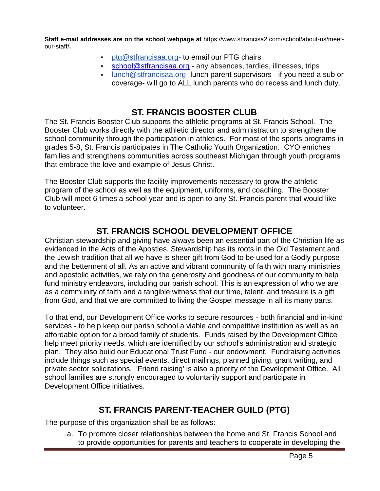**Staff e-mail addresses are on the school webpage at** https://www.stfrancisa2.com/school/about-us/meetour-staff/**.**

- [ptg@stfrancisaa.org-](mailto:ptg@stfrancisaa.org) to email our PTG chairs
- [school@stfrancisaa.org](file://sfafs02/UserData$/StaffData/kvanoirschot/Downloads/school@stfrancisaa.org%20) any absences, tardies, illnesses, trips
- $\blacksquare$  lunch @stfrancisaa.org- lunch parent supervisors if you need a sub or coverage- will go to ALL lunch parents who do recess and lunch duty.

### **ST. FRANCIS BOOSTER CLUB**

The St. Francis Booster Club supports the athletic programs at St. Francis School. The Booster Club works directly with the athletic director and administration to strengthen the school community through the participation in athletics. For most of the sports programs in grades 5-8, St. Francis participates in The Catholic Youth Organization. CYO enriches families and strengthens communities across southeast Michigan through youth programs that embrace the love and example of Jesus Christ.

The Booster Club supports the facility improvements necessary to grow the athletic program of the school as well as the equipment, uniforms, and coaching. The Booster Club will meet 6 times a school year and is open to any St. Francis parent that would like to volunteer.

### **ST. FRANCIS SCHOOL DEVELOPMENT OFFICE**

Christian stewardship and giving have always been an essential part of the Christian life as evidenced in the Acts of the Apostles. Stewardship has its roots in the Old Testament and the Jewish tradition that all we have is sheer gift from God to be used for a Godly purpose and the betterment of all. As an active and vibrant community of faith with many ministries and apostolic activities, we rely on the generosity and goodness of our community to help fund ministry endeavors, including our parish school. This is an expression of who we are as a community of faith and a tangible witness that our time, talent, and treasure is a gift from God, and that we are committed to living the Gospel message in all its many parts.

To that end, our Development Office works to secure resources - both financial and in-kind services - to help keep our parish school a viable and competitive institution as well as an affordable option for a broad family of students. Funds raised by the Development Office help meet priority needs, which are identified by our school's administration and strategic plan. They also build our Educational Trust Fund - our endowment. Fundraising activities include things such as special events, direct mailings, planned giving, grant writing, and private sector solicitations. 'Friend raising' is also a priority of the Development Office. All school families are strongly encouraged to voluntarily support and participate in Development Office initiatives.

### **ST. FRANCIS PARENT-TEACHER GUILD (PTG)**

The purpose of this organization shall be as follows:

a. To promote closer relationships between the home and St. Francis School and to provide opportunities for parents and teachers to cooperate in developing the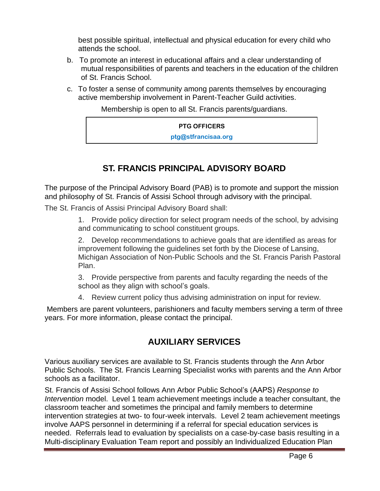best possible spiritual, intellectual and physical education for every child who attends the school.

- b. To promote an interest in educational affairs and a clear understanding of mutual responsibilities of parents and teachers in the education of the children of St. Francis School.
- c. To foster a sense of community among parents themselves by encouraging active membership involvement in Parent-Teacher Guild activities.

Membership is open to all St. Francis parents/guardians.

#### **PTG OFFICERS**

**ptg@stfrancisaa.org**

# **ST. FRANCIS PRINCIPAL ADVISORY BOARD**

The purpose of the Principal Advisory Board (PAB) is to promote and support the mission and philosophy of St. Francis of Assisi School through advisory with the principal.

The St. Francis of Assisi Principal Advisory Board shall:

1. Provide policy direction for select program needs of the school, by advising and communicating to school constituent groups.

2. Develop recommendations to achieve goals that are identified as areas for improvement following the guidelines set forth by the Diocese of Lansing, Michigan Association of Non-Public Schools and the St. Francis Parish Pastoral Plan.

3. Provide perspective from parents and faculty regarding the needs of the school as they align with school's goals.

4. Review current policy thus advising administration on input for review.

Members are parent volunteers, parishioners and faculty members serving a term of three years. For more information, please contact the principal.

# **AUXILIARY SERVICES**

Various auxiliary services are available to St. Francis students through the Ann Arbor Public Schools. The St. Francis Learning Specialist works with parents and the Ann Arbor schools as a facilitator.

St. Francis of Assisi School follows Ann Arbor Public School's (AAPS) *Response to Intervention* model. Level 1 team achievement meetings include a teacher consultant, the classroom teacher and sometimes the principal and family members to determine intervention strategies at two- to four-week intervals. Level 2 team achievement meetings involve AAPS personnel in determining if a referral for special education services is needed. Referrals lead to evaluation by specialists on a case-by-case basis resulting in a Multi-disciplinary Evaluation Team report and possibly an Individualized Education Plan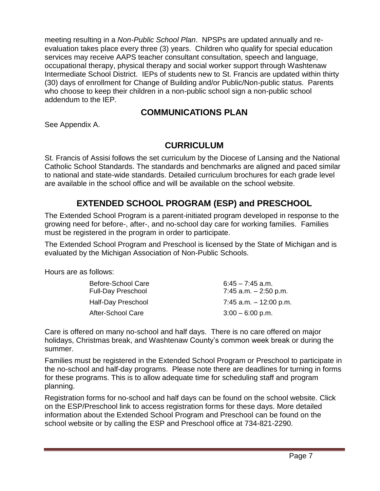meeting resulting in a *Non-Public School Plan*. NPSPs are updated annually and reevaluation takes place every three (3) years. Children who qualify for special education services may receive AAPS teacher consultant consultation, speech and language, occupational therapy, physical therapy and social worker support through Washtenaw Intermediate School District. IEPs of students new to St. Francis are updated within thirty (30) days of enrollment for Change of Building and/or Public/Non-public status. Parents who choose to keep their children in a non-public school sign a non-public school addendum to the IEP.

### **COMMUNICATIONS PLAN**

See Appendix A.

### **CURRICULUM**

St. Francis of Assisi follows the set curriculum by the Diocese of Lansing and the National Catholic School Standards. The standards and benchmarks are aligned and paced similar to national and state-wide standards. Detailed curriculum brochures for each grade level are available in the school office and will be available on the school website.

### **EXTENDED SCHOOL PROGRAM (ESP) and PRESCHOOL**

The Extended School Program is a parent-initiated program developed in response to the growing need for before-, after-, and no-school day care for working families. Families must be registered in the program in order to participate.

The Extended School Program and Preschool is licensed by the State of Michigan and is evaluated by the Michigan Association of Non-Public Schools.

Hours are as follows:

| Before-School Care<br><b>Full-Day Preschool</b> | $6:45 - 7:45$ a.m.<br>7:45 a.m. $-2:50$ p.m. |
|-------------------------------------------------|----------------------------------------------|
| Half-Day Preschool                              | 7:45 a.m. $-12:00$ p.m.                      |
| After-School Care                               | $3:00 - 6:00$ p.m.                           |

Care is offered on many no-school and half days. There is no care offered on major holidays, Christmas break, and Washtenaw County's common week break or during the summer.

Families must be registered in the Extended School Program or Preschool to participate in the no-school and half-day programs. Please note there are deadlines for turning in forms for these programs. This is to allow adequate time for scheduling staff and program planning.

Registration forms for no-school and half days can be found on the school website. Click on the ESP/Preschool link to access registration forms for these days. More detailed information about the Extended School Program and Preschool can be found on the school website or by calling the ESP and Preschool office at 734-821-2290.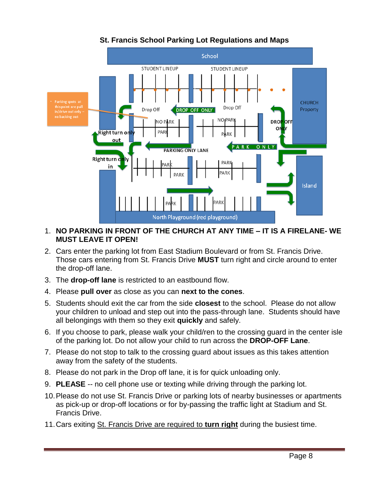

### **St. Francis School Parking Lot Regulations and Maps**

#### 1. **NO PARKING IN FRONT OF THE CHURCH AT ANY TIME – IT IS A FIRELANE- WE MUST LEAVE IT OPEN!**

- 2. Cars enter the parking lot from East Stadium Boulevard or from St. Francis Drive. Those cars entering from St. Francis Drive **MUST** turn right and circle around to enter the drop-off lane.
- 3. The **drop-off lane** is restricted to an eastbound flow.
- 4. Please **pull over** as close as you can **next to the cones**.
- 5. Students should exit the car from the side **closest** to the school. Please do not allow your children to unload and step out into the pass-through lane. Students should have all belongings with them so they exit **quickly** and safely.
- 6. If you choose to park, please walk your child/ren to the crossing guard in the center isle of the parking lot. Do not allow your child to run across the **DROP-OFF Lane**.
- 7. Please do not stop to talk to the crossing guard about issues as this takes attention away from the safety of the students.
- 8. Please do not park in the Drop off lane, it is for quick unloading only.
- 9. **PLEASE** -- no cell phone use or texting while driving through the parking lot.
- 10.Please do not use St. Francis Drive or parking lots of nearby businesses or apartments as pick-up or drop-off locations or for by-passing the traffic light at Stadium and St. Francis Drive.
- 11.Cars exiting St. Francis Drive are required to **turn right** during the busiest time.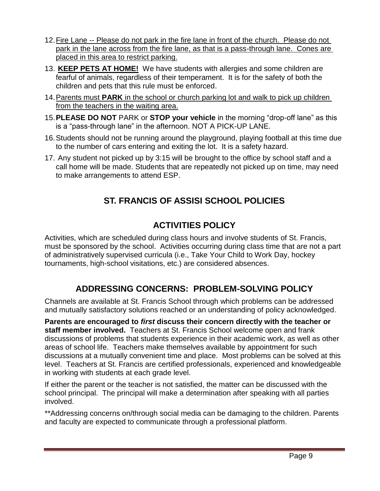- 12.Fire Lane -- Please do not park in the fire lane in front of the church. Please do not park in the lane across from the fire lane, as that is a pass-through lane. Cones are placed in this area to restrict parking.
- 13. **KEEP PETS AT HOME!** We have students with allergies and some children are fearful of animals, regardless of their temperament. It is for the safety of both the children and pets that this rule must be enforced.
- 14.Parents must **PARK** in the school or church parking lot and walk to pick up children from the teachers in the waiting area.
- 15.**PLEASE DO NOT** PARK or **STOP your vehicle** in the morning "drop-off lane" as this is a "pass-through lane" in the afternoon. NOT A PICK-UP LANE.
- 16.Students should not be running around the playground, playing football at this time due to the number of cars entering and exiting the lot. It is a safety hazard.
- 17. Any student not picked up by 3:15 will be brought to the office by school staff and a call home will be made. Students that are repeatedly not picked up on time, may need to make arrangements to attend ESP.

# **ST. FRANCIS OF ASSISI SCHOOL POLICIES**

# **ACTIVITIES POLICY**

Activities, which are scheduled during class hours and involve students of St. Francis, must be sponsored by the school. Activities occurring during class time that are not a part of administratively supervised curricula (i.e., Take Your Child to Work Day, hockey tournaments, high-school visitations, etc.) are considered absences.

# **ADDRESSING CONCERNS: PROBLEM-SOLVING POLICY**

Channels are available at St. Francis School through which problems can be addressed and mutually satisfactory solutions reached or an understanding of policy acknowledged.

**Parents are encouraged to** *first* **discuss their concern directly with the teacher or staff member involved.** Teachers at St. Francis School welcome open and frank discussions of problems that students experience in their academic work, as well as other areas of school life. Teachers make themselves available by appointment for such discussions at a mutually convenient time and place. Most problems can be solved at this level. Teachers at St. Francis are certified professionals, experienced and knowledgeable in working with students at each grade level.

If either the parent or the teacher is not satisfied, the matter can be discussed with the school principal. The principal will make a determination after speaking with all parties involved.

\*\*Addressing concerns on/through social media can be damaging to the children. Parents and faculty are expected to communicate through a professional platform.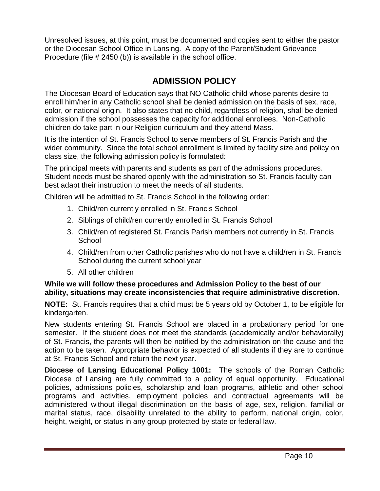Unresolved issues, at this point, must be documented and copies sent to either the pastor or the Diocesan School Office in Lansing. A copy of the Parent/Student Grievance Procedure (file # 2450 (b)) is available in the school office.

### **ADMISSION POLICY**

The Diocesan Board of Education says that NO Catholic child whose parents desire to enroll him/her in any Catholic school shall be denied admission on the basis of sex, race, color, or national origin. It also states that no child, regardless of religion, shall be denied admission if the school possesses the capacity for additional enrollees. Non-Catholic children do take part in our Religion curriculum and they attend Mass.

It is the intention of St. Francis School to serve members of St. Francis Parish and the wider community. Since the total school enrollment is limited by facility size and policy on class size, the following admission policy is formulated:

The principal meets with parents and students as part of the admissions procedures. Student needs must be shared openly with the administration so St. Francis faculty can best adapt their instruction to meet the needs of all students.

Children will be admitted to St. Francis School in the following order:

- 1. Child/ren currently enrolled in St. Francis School
- 2. Siblings of child/ren currently enrolled in St. Francis School
- 3. Child/ren of registered St. Francis Parish members not currently in St. Francis **School**
- 4. Child/ren from other Catholic parishes who do not have a child/ren in St. Francis School during the current school year
- 5. All other children

#### **While we will follow these procedures and Admission Policy to the best of our ability, situations may create inconsistencies that require administrative discretion.**

**NOTE:** St. Francis requires that a child must be 5 years old by October 1, to be eligible for kindergarten.

New students entering St. Francis School are placed in a probationary period for one semester. If the student does not meet the standards (academically and/or behaviorally) of St. Francis, the parents will then be notified by the administration on the cause and the action to be taken. Appropriate behavior is expected of all students if they are to continue at St. Francis School and return the next year.

**Diocese of Lansing Educational Policy 1001:** The schools of the Roman Catholic Diocese of Lansing are fully committed to a policy of equal opportunity. Educational policies, admissions policies, scholarship and loan programs, athletic and other school programs and activities, employment policies and contractual agreements will be administered without illegal discrimination on the basis of age, sex, religion, familial or marital status, race, disability unrelated to the ability to perform, national origin, color, height, weight, or status in any group protected by state or federal law.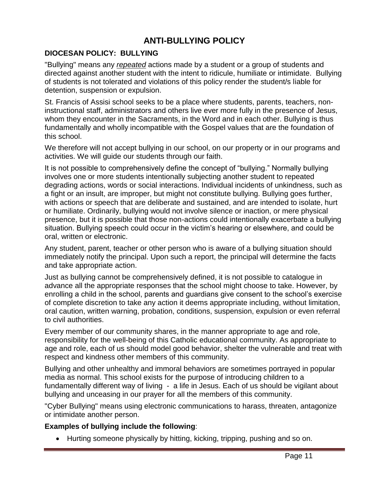# **ANTI-BULLYING POLICY**

#### **DIOCESAN POLICY: BULLYING**

"Bullying" means any *repeated* actions made by a student or a group of students and directed against another student with the intent to ridicule, humiliate or intimidate. Bullying of students is not tolerated and violations of this policy render the student/s liable for detention, suspension or expulsion.

St. Francis of Assisi school seeks to be a place where students, parents, teachers, noninstructional staff, administrators and others live ever more fully in the presence of Jesus, whom they encounter in the Sacraments, in the Word and in each other. Bullying is thus fundamentally and wholly incompatible with the Gospel values that are the foundation of this school.

We therefore will not accept bullying in our school, on our property or in our programs and activities. We will guide our students through our faith.

It is not possible to comprehensively define the concept of "bullying." Normally bullying involves one or more students intentionally subjecting another student to repeated degrading actions, words or social interactions. Individual incidents of unkindness, such as a fight or an insult, are improper, but might not constitute bullying. Bullying goes further, with actions or speech that are deliberate and sustained, and are intended to isolate, hurt or humiliate. Ordinarily, bullying would not involve silence or inaction, or mere physical presence, but it is possible that those non-actions could intentionally exacerbate a bullying situation. Bullying speech could occur in the victim's hearing or elsewhere, and could be oral, written or electronic.

Any student, parent, teacher or other person who is aware of a bullying situation should immediately notify the principal. Upon such a report, the principal will determine the facts and take appropriate action.

Just as bullying cannot be comprehensively defined, it is not possible to catalogue in advance all the appropriate responses that the school might choose to take. However, by enrolling a child in the school, parents and guardians give consent to the school's exercise of complete discretion to take any action it deems appropriate including, without limitation, oral caution, written warning, probation, conditions, suspension, expulsion or even referral to civil authorities.

Every member of our community shares, in the manner appropriate to age and role, responsibility for the well-being of this Catholic educational community. As appropriate to age and role, each of us should model good behavior, shelter the vulnerable and treat with respect and kindness other members of this community.

Bullying and other unhealthy and immoral behaviors are sometimes portrayed in popular media as normal. This school exists for the purpose of introducing children to a fundamentally different way of living - a life in Jesus. Each of us should be vigilant about bullying and unceasing in our prayer for all the members of this community.

"Cyber Bullying" means using electronic communications to harass, threaten, antagonize or intimidate another person.

#### **Examples of bullying include the following**:

Hurting someone physically by hitting, kicking, tripping, pushing and so on.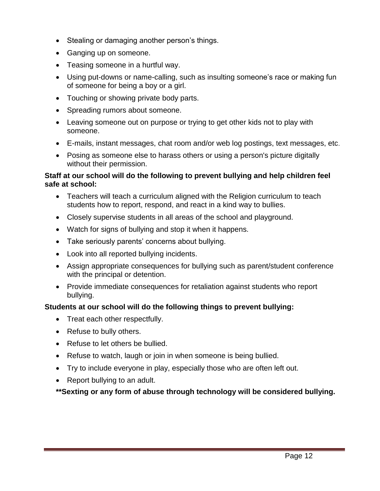- Stealing or damaging another person's things.
- Ganging up on someone.
- Teasing someone in a hurtful way.
- Using put-downs or name-calling, such as insulting someone's race or making fun of someone for being a boy or a girl.
- Touching or showing private body parts.
- Spreading rumors about someone.
- Leaving someone out on purpose or trying to get other kids not to play with someone.
- E-mails, instant messages, chat room and/or web log postings, text messages, etc.
- Posing as someone else to harass others or using a person's picture digitally without their permission.

#### **Staff at our school will do the following to prevent bullying and help children feel safe at school:**

- Teachers will teach a curriculum aligned with the Religion curriculum to teach students how to report, respond, and react in a kind way to bullies.
- Closely supervise students in all areas of the school and playground.
- Watch for signs of bullying and stop it when it happens.
- Take seriously parents' concerns about bullying.
- Look into all reported bullying incidents.
- Assign appropriate consequences for bullying such as parent/student conference with the principal or detention.
- Provide immediate consequences for retaliation against students who report bullying.

#### **Students at our school will do the following things to prevent bullying:**

- Treat each other respectfully.
- Refuse to bully others.
- Refuse to let others be bullied.
- Refuse to watch, laugh or join in when someone is being bullied.
- Try to include everyone in play, especially those who are often left out.
- Report bullying to an adult.

**\*\*Sexting or any form of abuse through technology will be considered bullying.**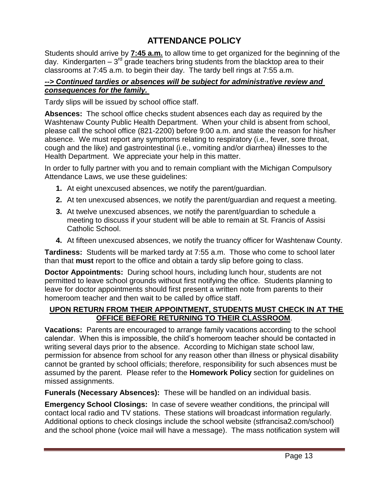# **ATTENDANCE POLICY**

Students should arrive by **7:45 a.m.** to allow time to get organized for the beginning of the day. Kindergarten  $-3^{rd}$  grade teachers bring students from the blacktop area to their classrooms at 7:45 a.m. to begin their day. The tardy bell rings at 7:55 a.m.

#### *--> Continued tardies or absences will be subject for administrative review and consequences for the family.*

Tardy slips will be issued by school office staff.

**Absences:** The school office checks student absences each day as required by the Washtenaw County Public Health Department. When your child is absent from school, please call the school office (821-2200) before 9:00 a.m. and state the reason for his/her absence. We must report any symptoms relating to respiratory (i.e., fever, sore throat, cough and the like) and gastrointestinal (i.e., vomiting and/or diarrhea) illnesses to the Health Department. We appreciate your help in this matter.

In order to fully partner with you and to remain compliant with the Michigan Compulsory Attendance Laws, we use these guidelines:

- **1.** At eight unexcused absences, we notify the parent/guardian.
- **2.** At ten unexcused absences, we notify the parent/guardian and request a meeting.
- **3.** At twelve unexcused absences, we notify the parent/guardian to schedule a meeting to discuss if your student will be able to remain at St. Francis of Assisi Catholic School.
- **4.** At fifteen unexcused absences, we notify the truancy officer for Washtenaw County.

**Tardiness:** Students will be marked tardy at 7:55 a.m. Those who come to school later than that **must** report to the office and obtain a tardy slip before going to class.

**Doctor Appointments:** During school hours, including lunch hour, students are not permitted to leave school grounds without first notifying the office. Students planning to leave for doctor appointments should first present a written note from parents to their homeroom teacher and then wait to be called by office staff.

#### **UPON RETURN FROM THEIR APPOINTMENT, STUDENTS MUST CHECK IN AT THE OFFICE BEFORE RETURNING TO THEIR CLASSROOM**.

**Vacations:** Parents are encouraged to arrange family vacations according to the school calendar. When this is impossible, the child's homeroom teacher should be contacted in writing several days prior to the absence. According to Michigan state school law, permission for absence from school for any reason other than illness or physical disability cannot be granted by school officials; therefore, responsibility for such absences must be assumed by the parent. Please refer to the **Homework Policy** section for guidelines on missed assignments.

**Funerals (Necessary Absences):** These will be handled on an individual basis.

**Emergency School Closings:** In case of severe weather conditions, the principal will contact local radio and TV stations. These stations will broadcast information regularly. Additional options to check closings include the school website (stfrancisa2.com/school) and the school phone (voice mail will have a message). The mass notification system will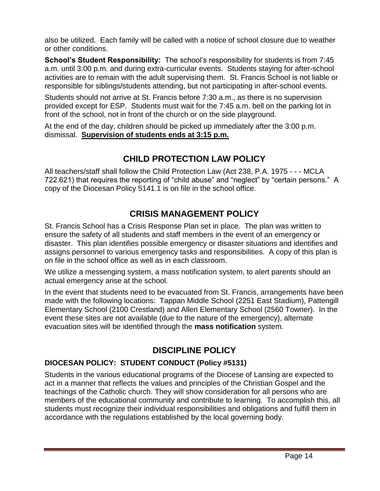also be utilized. Each family will be called with a notice of school closure due to weather or other conditions.

**School's Student Responsibility:** The school's responsibility for students is from 7:45 a.m. until 3:00 p.m. and during extra-curricular events. Students staying for after-school activities are to remain with the adult supervising them. St. Francis School is not liable or responsible for siblings/students attending, but not participating in after-school events.

Students should not arrive at St. Francis before 7:30 a.m., as there is no supervision provided except for ESP. Students must wait for the 7:45 a.m. bell on the parking lot in front of the school, not in front of the church or on the side playground.

At the end of the day, children should be picked up immediately after the 3:00 p.m. dismissal. **Supervision of students ends at 3:15 p.m.**

### **CHILD PROTECTION LAW POLICY**

All teachers/staff shall follow the Child Protection Law (Act 238, P.A. 1975 - - - MCLA 722.621) that requires the reporting of "child abuse" and "neglect" by "certain persons." A copy of the Diocesan Policy 5141.1 is on file in the school office.

# **CRISIS MANAGEMENT POLICY**

St. Francis School has a Crisis Response Plan set in place. The plan was written to ensure the safety of all students and staff members in the event of an emergency or disaster. This plan identifies possible emergency or disaster situations and identifies and assigns personnel to various emergency tasks and responsibilities. A copy of this plan is on file in the school office as well as in each classroom.

We utilize a messenging system, a mass notification system, to alert parents should an actual emergency arise at the school.

In the event that students need to be evacuated from St. Francis, arrangements have been made with the following locations: Tappan Middle School (2251 East Stadium), Pattengill Elementary School (2100 Crestland) and Allen Elementary School (2560 Towner). In the event these sites are not available (due to the nature of the emergency), alternate evacuation sites will be identified through the **mass notification** system.

# **DISCIPLINE POLICY**

#### **DIOCESAN POLICY: STUDENT CONDUCT (Policy #5131)**

Students in the various educational programs of the Diocese of Lansing are expected to act in a manner that reflects the values and principles of the Christian Gospel and the teachings of the Catholic church. They will show consideration for all persons who are members of the educational community and contribute to learning. To accomplish this, all students must recognize their individual responsibilities and obligations and fulfill them in accordance with the regulations established by the local governing body.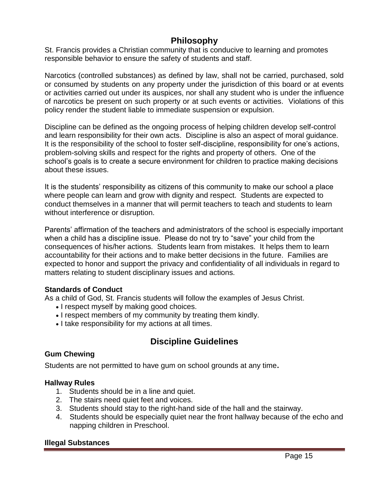### **Philosophy**

St. Francis provides a Christian community that is conducive to learning and promotes responsible behavior to ensure the safety of students and staff.

Narcotics (controlled substances) as defined by law, shall not be carried, purchased, sold or consumed by students on any property under the jurisdiction of this board or at events or activities carried out under its auspices, nor shall any student who is under the influence of narcotics be present on such property or at such events or activities. Violations of this policy render the student liable to immediate suspension or expulsion.

Discipline can be defined as the ongoing process of helping children develop self-control and learn responsibility for their own acts. Discipline is also an aspect of moral guidance. It is the responsibility of the school to foster self-discipline, responsibility for one's actions, problem-solving skills and respect for the rights and property of others. One of the school's goals is to create a secure environment for children to practice making decisions about these issues.

It is the students' responsibility as citizens of this community to make our school a place where people can learn and grow with dignity and respect. Students are expected to conduct themselves in a manner that will permit teachers to teach and students to learn without interference or disruption.

Parents' affirmation of the teachers and administrators of the school is especially important when a child has a discipline issue. Please do not try to "save" your child from the consequences of his/her actions. Students learn from mistakes. It helps them to learn accountability for their actions and to make better decisions in the future. Families are expected to honor and support the privacy and confidentiality of all individuals in regard to matters relating to student disciplinary issues and actions.

#### **Standards of Conduct**

As a child of God, St. Francis students will follow the examples of Jesus Christ.

- I respect myself by making good choices.
- I respect members of my community by treating them kindly.
- I take responsibility for my actions at all times.

### **Discipline Guidelines**

#### **Gum Chewing**

Students are not permitted to have gum on school grounds at any time**.**

#### **Hallway Rules**

- 1. Students should be in a line and quiet.
- 2. The stairs need quiet feet and voices.
- 3. Students should stay to the right-hand side of the hall and the stairway.
- 4. Students should be especially quiet near the front hallway because of the echo and napping children in Preschool.

#### **Illegal Substances**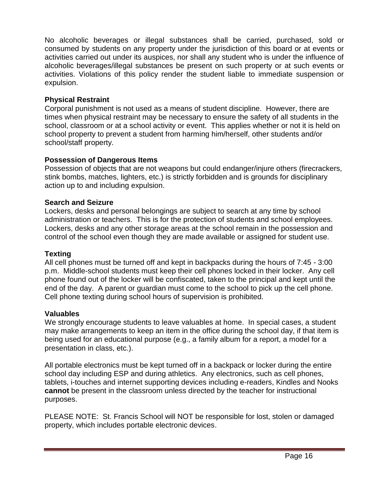No alcoholic beverages or illegal substances shall be carried, purchased, sold or consumed by students on any property under the jurisdiction of this board or at events or activities carried out under its auspices, nor shall any student who is under the influence of alcoholic beverages/illegal substances be present on such property or at such events or activities. Violations of this policy render the student liable to immediate suspension or expulsion.

#### **Physical Restraint**

Corporal punishment is not used as a means of student discipline. However, there are times when physical restraint may be necessary to ensure the safety of all students in the school, classroom or at a school activity or event. This applies whether or not it is held on school property to prevent a student from harming him/herself, other students and/or school/staff property.

#### **Possession of Dangerous Items**

Possession of objects that are not weapons but could endanger/injure others (firecrackers, stink bombs, matches, lighters, etc.) is strictly forbidden and is grounds for disciplinary action up to and including expulsion.

#### **Search and Seizure**

Lockers, desks and personal belongings are subject to search at any time by school administration or teachers. This is for the protection of students and school employees. Lockers, desks and any other storage areas at the school remain in the possession and control of the school even though they are made available or assigned for student use.

#### **Texting**

All cell phones must be turned off and kept in backpacks during the hours of 7:45 - 3:00 p.m. Middle-school students must keep their cell phones locked in their locker. Any cell phone found out of the locker will be confiscated, taken to the principal and kept until the end of the day. A parent or guardian must come to the school to pick up the cell phone. Cell phone texting during school hours of supervision is prohibited.

#### **Valuables**

We strongly encourage students to leave valuables at home. In special cases, a student may make arrangements to keep an item in the office during the school day, if that item is being used for an educational purpose (e.g., a family album for a report, a model for a presentation in class, etc.).

All portable electronics must be kept turned off in a backpack or locker during the entire school day including ESP and during athletics. Any electronics, such as cell phones, tablets, i-touches and internet supporting devices including e-readers, Kindles and Nooks **cannot** be present in the classroom unless directed by the teacher for instructional purposes.

PLEASE NOTE: St. Francis School will NOT be responsible for lost, stolen or damaged property, which includes portable electronic devices.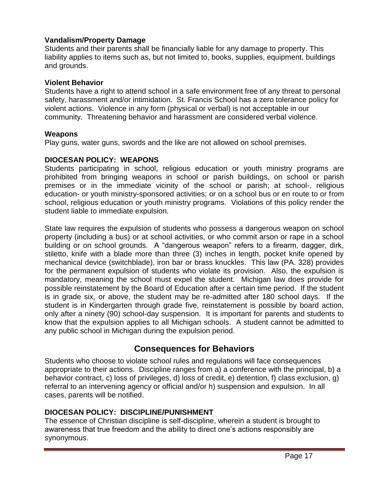#### **Vandalism/Property Damage**

Students and their parents shall be financially liable for any damage to property. This liability applies to items such as, but not limited to, books, supplies, equipment, buildings and grounds.

#### **Violent Behavior**

Students have a right to attend school in a safe environment free of any threat to personal safety, harassment and/or intimidation. St. Francis School has a zero tolerance policy for violent actions. Violence in any form (physical or verbal) is not acceptable in our community. Threatening behavior and harassment are considered verbal violence.

#### **Weapons**

Play guns, water guns, swords and the like are not allowed on school premises.

#### **DIOCESAN POLICY: WEAPONS**

Students participating in school, religious education or youth ministry programs are prohibited from bringing weapons in school or parish buildings, on school or parish premises or in the immediate vicinity of the school or parish; at school-, religious education- or youth ministry-sponsored activities; or on a school bus or en route to or from school, religious education or youth ministry programs. Violations of this policy render the student liable to immediate expulsion.

State law requires the expulsion of students who possess a dangerous weapon on school property (including a bus) or at school activities, or who commit arson or rape in a school building or on school grounds. A "dangerous weapon" refers to a firearm, dagger, dirk, stiletto, knife with a blade more than three (3) inches in length, pocket knife opened by mechanical device (switchblade), iron bar or brass knuckles. This law (PA. 328) provides for the permanent expulsion of students who violate its provision. Also, the expulsion is mandatory, meaning the school must expel the student. Michigan law does provide for possible reinstatement by the Board of Education after a certain time period. If the student is in grade six, or above, the student may be re-admitted after 180 school days. If the student is in Kindergarten through grade five, reinstatement is possible by board action, only after a ninety (90) school-day suspension. It is important for parents and students to know that the expulsion applies to all Michigan schools. A student cannot be admitted to any public school in Michigan during the expulsion period.

### **Consequences for Behaviors**

Students who choose to violate school rules and regulations will face consequences appropriate to their actions. Discipline ranges from a) a conference with the principal, b) a behavior contract, c) loss of privileges, d) loss of credit, e) detention, f) class exclusion, g) referral to an intervening agency or official and/or h) suspension and expulsion. In all cases, parents will be notified.

#### **DIOCESAN POLICY: DISCIPLINE/PUNISHMENT**

The essence of Christian discipline is self-discipline, wherein a student is brought to awareness that true freedom and the ability to direct one's actions responsibly are synonymous.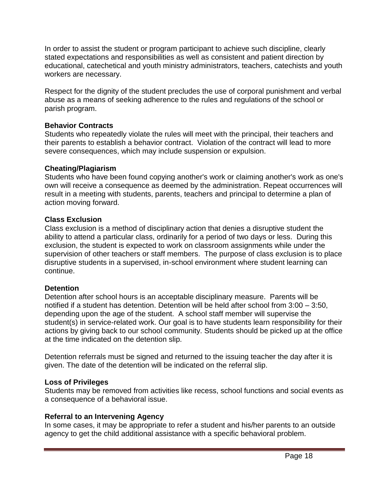In order to assist the student or program participant to achieve such discipline, clearly stated expectations and responsibilities as well as consistent and patient direction by educational, catechetical and youth ministry administrators, teachers, catechists and youth workers are necessary.

Respect for the dignity of the student precludes the use of corporal punishment and verbal abuse as a means of seeking adherence to the rules and regulations of the school or parish program.

#### **Behavior Contracts**

Students who repeatedly violate the rules will meet with the principal, their teachers and their parents to establish a behavior contract. Violation of the contract will lead to more severe consequences, which may include suspension or expulsion.

#### **Cheating/Plagiarism**

Students who have been found copying another's work or claiming another's work as one's own will receive a consequence as deemed by the administration. Repeat occurrences will result in a meeting with students, parents, teachers and principal to determine a plan of action moving forward.

#### **Class Exclusion**

Class exclusion is a method of disciplinary action that denies a disruptive student the ability to attend a particular class, ordinarily for a period of two days or less. During this exclusion, the student is expected to work on classroom assignments while under the supervision of other teachers or staff members. The purpose of class exclusion is to place disruptive students in a supervised, in-school environment where student learning can continue.

#### **Detention**

Detention after school hours is an acceptable disciplinary measure. Parents will be notified if a student has detention. Detention will be held after school from 3:00 – 3:50, depending upon the age of the student. A school staff member will supervise the student(s) in service-related work. Our goal is to have students learn responsibility for their actions by giving back to our school community. Students should be picked up at the office at the time indicated on the detention slip.

Detention referrals must be signed and returned to the issuing teacher the day after it is given. The date of the detention will be indicated on the referral slip.

#### **Loss of Privileges**

Students may be removed from activities like recess, school functions and social events as a consequence of a behavioral issue.

#### **Referral to an Intervening Agency**

In some cases, it may be appropriate to refer a student and his/her parents to an outside agency to get the child additional assistance with a specific behavioral problem.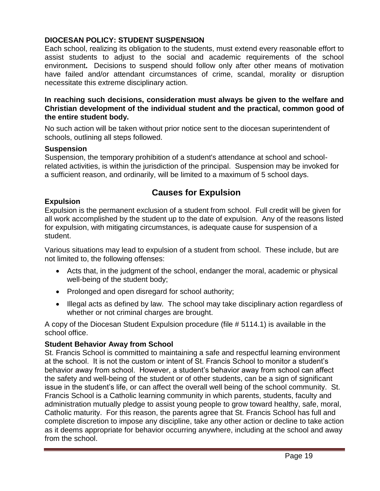#### **DIOCESAN POLICY: STUDENT SUSPENSION**

Each school, realizing its obligation to the students, must extend every reasonable effort to assist students to adjust to the social and academic requirements of the school environment**.** Decisions to suspend should follow only after other means of motivation have failed and/or attendant circumstances of crime, scandal, morality or disruption necessitate this extreme disciplinary action.

#### **In reaching such decisions, consideration must always be given to the welfare and Christian development of the individual student and the practical, common good of the entire student body.**

No such action will be taken without prior notice sent to the diocesan superintendent of schools, outlining all steps followed.

#### **Suspension**

Suspension, the temporary prohibition of a student's attendance at school and schoolrelated activities, is within the jurisdiction of the principal. Suspension may be invoked for a sufficient reason, and ordinarily, will be limited to a maximum of 5 school days.

### **Causes for Expulsion**

#### **Expulsion**

Expulsion is the permanent exclusion of a student from school. Full credit will be given for all work accomplished by the student up to the date of expulsion. Any of the reasons listed for expulsion, with mitigating circumstances, is adequate cause for suspension of a student.

Various situations may lead to expulsion of a student from school. These include, but are not limited to, the following offenses:

- Acts that, in the judgment of the school, endanger the moral, academic or physical well-being of the student body;
- Prolonged and open disregard for school authority;
- Illegal acts as defined by law. The school may take disciplinary action regardless of whether or not criminal charges are brought.

A copy of the Diocesan Student Expulsion procedure (file # 5114.1) is available in the school office.

#### **Student Behavior Away from School**

St. Francis School is committed to maintaining a safe and respectful learning environment at the school. It is not the custom or intent of St. Francis School to monitor a student's behavior away from school. However, a student's behavior away from school can affect the safety and well-being of the student or of other students, can be a sign of significant issue in the student's life, or can affect the overall well being of the school community. St. Francis School is a Catholic learning community in which parents, students, faculty and administration mutually pledge to assist young people to grow toward healthy, safe, moral, Catholic maturity. For this reason, the parents agree that St. Francis School has full and complete discretion to impose any discipline, take any other action or decline to take action as it deems appropriate for behavior occurring anywhere, including at the school and away from the school.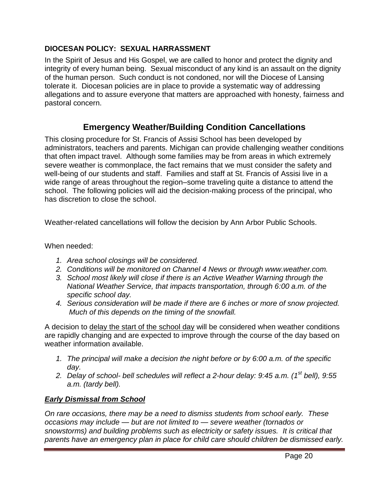#### **DIOCESAN POLICY: SEXUAL HARRASSMENT**

In the Spirit of Jesus and His Gospel, we are called to honor and protect the dignity and integrity of every human being. Sexual misconduct of any kind is an assault on the dignity of the human person. Such conduct is not condoned, nor will the Diocese of Lansing tolerate it. Diocesan policies are in place to provide a systematic way of addressing allegations and to assure everyone that matters are approached with honesty, fairness and pastoral concern.

### **Emergency Weather/Building Condition Cancellations**

This closing procedure for St. Francis of Assisi School has been developed by administrators, teachers and parents. Michigan can provide challenging weather conditions that often impact travel. Although some families may be from areas in which extremely severe weather is commonplace, the fact remains that we must consider the safety and well-being of our students and staff. Families and staff at St. Francis of Assisi live in a wide range of areas throughout the region–some traveling quite a distance to attend the school. The following policies will aid the decision-making process of the principal, who has discretion to close the school.

Weather-related cancellations will follow the decision by Ann Arbor Public Schools.

When needed:

- *1. Area school closings will be considered.*
- *2. Conditions will be monitored on Channel 4 News or through www.weather.com.*
- *3. School most likely will close if there is an Active Weather Warning through the National Weather Service, that impacts transportation, through 6:00 a.m. of the specific school day.*
- *4. Serious consideration will be made if there are 6 inches or more of snow projected. Much of this depends on the timing of the snowfall.*

A decision to delay the start of the school day will be considered when weather conditions are rapidly changing and are expected to improve through the course of the day based on weather information available.

- *1. The principal will make a decision the night before or by 6:00 a.m. of the specific day.*
- *2. Delay of school- bell schedules will reflect a 2-hour delay: 9:45 a.m. (1st bell), 9:55 a.m. (tardy bell).*

#### *Early Dismissal from School*

*On rare occasions, there may be a need to dismiss students from school early. These occasions may include — but are not limited to — severe weather (tornados or snowstorms) and building problems such as electricity or safety issues. It is critical that parents have an emergency plan in place for child care should children be dismissed early.*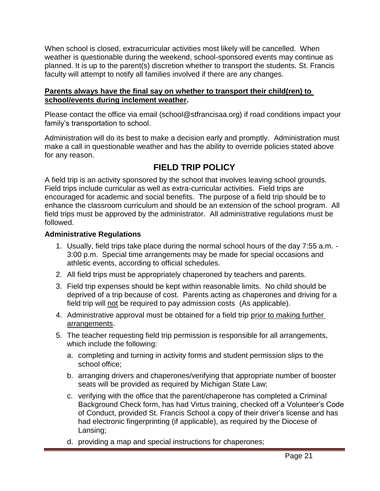When school is closed, extracurricular activities most likely will be cancelled. When weather is questionable during the weekend, school-sponsored events may continue as planned. It is up to the parent(s) discretion whether to transport the students. St. Francis faculty will attempt to notify all families involved if there are any changes.

#### **Parents always have the final say on whether to transport their child(ren) to school/events during inclement weather.**

Please contact the office via email (school@stfrancisaa.org) if road conditions impact your family's transportation to school.

Administration will do its best to make a decision early and promptly. Administration must make a call in questionable weather and has the ability to override policies stated above for any reason.

# **FIELD TRIP POLICY**

A field trip is an activity sponsored by the school that involves leaving school grounds. Field trips include curricular as well as extra-curricular activities. Field trips are encouraged for academic and social benefits. The purpose of a field trip should be to enhance the classroom curriculum and should be an extension of the school program. All field trips must be approved by the administrator. All administrative regulations must be followed.

#### **Administrative Regulations**

- 1. Usually, field trips take place during the normal school hours of the day 7:55 a.m. 3:00 p.m. Special time arrangements may be made for special occasions and athletic events, according to official schedules.
- 2. All field trips must be appropriately chaperoned by teachers and parents.
- 3. Field trip expenses should be kept within reasonable limits. No child should be deprived of a trip because of cost. Parents acting as chaperones and driving for a field trip will not be required to pay admission costs (As applicable).
- 4. Administrative approval must be obtained for a field trip prior to making further arrangements.
- 5. The teacher requesting field trip permission is responsible for all arrangements, which include the following:
	- a. completing and turning in activity forms and student permission slips to the school office;
	- b. arranging drivers and chaperones/verifying that appropriate number of booster seats will be provided as required by Michigan State Law;
	- c. verifying with the office that the parent/chaperone has completed a Criminal Background Check form, has had Virtus training, checked off a Volunteer's Code of Conduct, provided St. Francis School a copy of their driver's license and has had electronic fingerprinting (if applicable), as required by the Diocese of Lansing;
	- d. providing a map and special instructions for chaperones;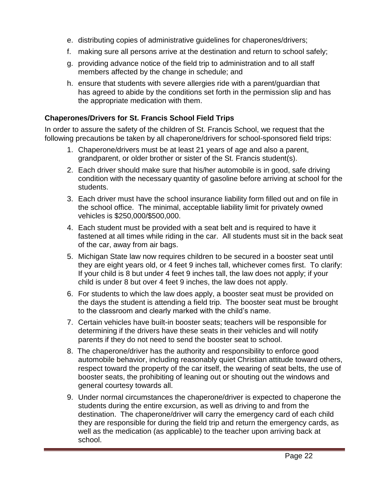- e. distributing copies of administrative guidelines for chaperones/drivers;
- f. making sure all persons arrive at the destination and return to school safely;
- g. providing advance notice of the field trip to administration and to all staff members affected by the change in schedule; and
- h. ensure that students with severe allergies ride with a parent/guardian that has agreed to abide by the conditions set forth in the permission slip and has the appropriate medication with them.

#### **Chaperones/Drivers for St. Francis School Field Trips**

In order to assure the safety of the children of St. Francis School, we request that the following precautions be taken by all chaperone/drivers for school-sponsored field trips:

- 1. Chaperone/drivers must be at least 21 years of age and also a parent, grandparent, or older brother or sister of the St. Francis student(s).
- 2. Each driver should make sure that his/her automobile is in good, safe driving condition with the necessary quantity of gasoline before arriving at school for the students.
- 3. Each driver must have the school insurance liability form filled out and on file in the school office. The minimal, acceptable liability limit for privately owned vehicles is \$250,000/\$500,000.
- 4. Each student must be provided with a seat belt and is required to have it fastened at all times while riding in the car. All students must sit in the back seat of the car, away from air bags.
- 5. Michigan State law now requires children to be secured in a booster seat until they are eight years old, or 4 feet 9 inches tall, whichever comes first. To clarify: If your child is 8 but under 4 feet 9 inches tall, the law does not apply; if your child is under 8 but over 4 feet 9 inches, the law does not apply.
- 6. For students to which the law does apply, a booster seat must be provided on the days the student is attending a field trip. The booster seat must be brought to the classroom and clearly marked with the child's name.
- 7. Certain vehicles have built-in booster seats; teachers will be responsible for determining if the drivers have these seats in their vehicles and will notify parents if they do not need to send the booster seat to school.
- 8. The chaperone/driver has the authority and responsibility to enforce good automobile behavior, including reasonably quiet Christian attitude toward others, respect toward the property of the car itself, the wearing of seat belts, the use of booster seats, the prohibiting of leaning out or shouting out the windows and general courtesy towards all.
- 9. Under normal circumstances the chaperone/driver is expected to chaperone the students during the entire excursion, as well as driving to and from the destination. The chaperone/driver will carry the emergency card of each child they are responsible for during the field trip and return the emergency cards, as well as the medication (as applicable) to the teacher upon arriving back at school.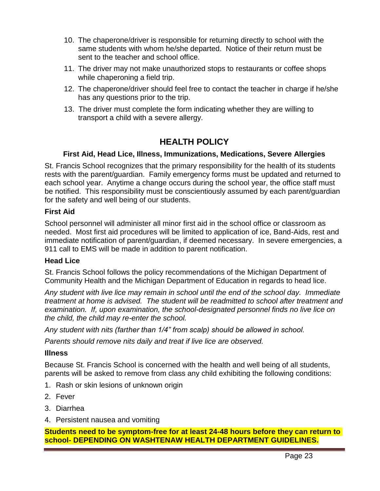- 10. The chaperone/driver is responsible for returning directly to school with the same students with whom he/she departed. Notice of their return must be sent to the teacher and school office.
- 11. The driver may not make unauthorized stops to restaurants or coffee shops while chaperoning a field trip.
- 12. The chaperone/driver should feel free to contact the teacher in charge if he/she has any questions prior to the trip.
- 13. The driver must complete the form indicating whether they are willing to transport a child with a severe allergy.

### **HEALTH POLICY**

#### **First Aid, Head Lice, Illness, Immunizations, Medications, Severe Allergies**

St. Francis School recognizes that the primary responsibility for the health of its students rests with the parent/guardian. Family emergency forms must be updated and returned to each school year. Anytime a change occurs during the school year, the office staff must be notified. This responsibility must be conscientiously assumed by each parent/guardian for the safety and well being of our students.

#### **First Aid**

School personnel will administer all minor first aid in the school office or classroom as needed. Most first aid procedures will be limited to application of ice, Band-Aids, rest and immediate notification of parent/guardian, if deemed necessary. In severe emergencies, a 911 call to EMS will be made in addition to parent notification.

#### **Head Lice**

St. Francis School follows the policy recommendations of the Michigan Department of Community Health and the Michigan Department of Education in regards to head lice.

*Any student with live lice may remain in school until the end of the school day. Immediate treatment at home is advised. The student will be readmitted to school after treatment and examination. If, upon examination, the school-designated personnel finds no live lice on the child, the child may re-enter the school.*

*Any student with nits (farther than 1/4" from scalp) should be allowed in school.*

*Parents should remove nits daily and treat if live lice are observed.*

#### **Illness**

Because St. Francis School is concerned with the health and well being of all students, parents will be asked to remove from class any child exhibiting the following conditions:

- 1. Rash or skin lesions of unknown origin
- 2. Fever
- 3. Diarrhea
- 4. Persistent nausea and vomiting

**Students need to be symptom-free for at least 24-48 hours before they can return to school- DEPENDING ON WASHTENAW HEALTH DEPARTMENT GUIDELINES.**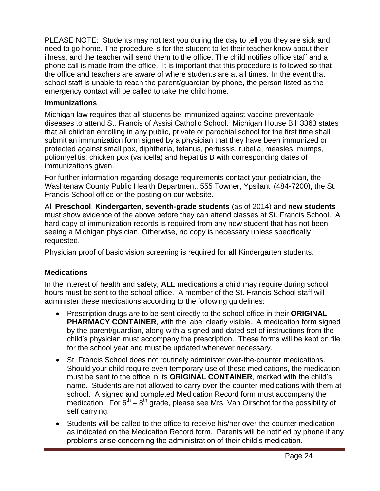PLEASE NOTE: Students may not text you during the day to tell you they are sick and need to go home. The procedure is for the student to let their teacher know about their illness, and the teacher will send them to the office. The child notifies office staff and a phone call is made from the office. It is important that this procedure is followed so that the office and teachers are aware of where students are at all times. In the event that school staff is unable to reach the parent/guardian by phone, the person listed as the emergency contact will be called to take the child home.

#### **Immunizations**

Michigan law requires that all students be immunized against vaccine-preventable diseases to attend St. Francis of Assisi Catholic School. Michigan House Bill 3363 states that all children enrolling in any public, private or parochial school for the first time shall submit an immunization form signed by a physician that they have been immunized or protected against small pox, diphtheria, tetanus, pertussis, rubella, measles, mumps, poliomyelitis, chicken pox (varicella) and hepatitis B with corresponding dates of immunizations given.

For further information regarding dosage requirements contact your pediatrician, the Washtenaw County Public Health Department, 555 Towner, Ypsilanti (484-7200), the St. Francis School office or the posting on our website.

All **Preschool**, **Kindergarten**, **seventh-grade students** (as of 2014) and **new students** must show evidence of the above before they can attend classes at St. Francis School. A hard copy of immunization records is required from any new student that has not been seeing a Michigan physician. Otherwise, no copy is necessary unless specifically requested.

Physician proof of basic vision screening is required for **all** Kindergarten students.

#### **Medications**

In the interest of health and safety, **ALL** medications a child may require during school hours must be sent to the school office. A member of the St. Francis School staff will administer these medications according to the following guidelines:

- Prescription drugs are to be sent directly to the school office in their **ORIGINAL PHARMACY CONTAINER**, with the label clearly visible. A medication form signed by the parent/guardian, along with a signed and dated set of instructions from the child's physician must accompany the prescription. These forms will be kept on file for the school year and must be updated whenever necessary.
- St. Francis School does not routinely administer over-the-counter medications. Should your child require even temporary use of these medications, the medication must be sent to the office in its **ORIGINAL CONTAINER**, marked with the child's name. Students are not allowed to carry over-the-counter medications with them at school. A signed and completed Medication Record form must accompany the medication. For  $6<sup>th</sup> - 8<sup>th</sup>$  grade, please see Mrs. Van Oirschot for the possibility of self carrying.
- Students will be called to the office to receive his/her over-the-counter medication as indicated on the Medication Record form. Parents will be notified by phone if any problems arise concerning the administration of their child's medication.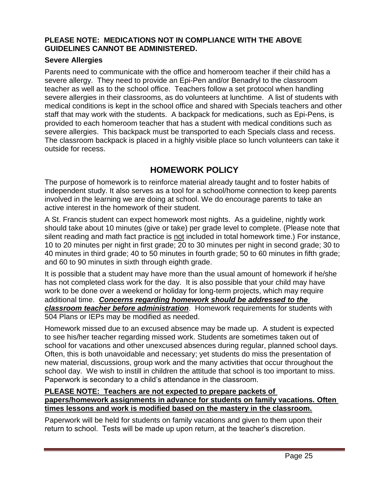#### **PLEASE NOTE: MEDICATIONS NOT IN COMPLIANCE WITH THE ABOVE GUIDELINES CANNOT BE ADMINISTERED.**

#### **Severe Allergies**

Parents need to communicate with the office and homeroom teacher if their child has a severe allergy. They need to provide an Epi-Pen and/or Benadryl to the classroom teacher as well as to the school office. Teachers follow a set protocol when handling severe allergies in their classrooms, as do volunteers at lunchtime.A list of students with medical conditions is kept in the school office and shared with Specials teachers and other staff that may work with the students. A backpack for medications, such as Epi-Pens, is provided to each homeroom teacher that has a student with medical conditions such as severe allergies. This backpack must be transported to each Specials class and recess. The classroom backpack is placed in a highly visible place so lunch volunteers can take it outside for recess.

### **HOMEWORK POLICY**

The purpose of homework is to reinforce material already taught and to foster habits of independent study. It also serves as a tool for a school/home connection to keep parents involved in the learning we are doing at school. We do encourage parents to take an active interest in the homework of their student.

A St. Francis student can expect homework most nights. As a guideline, nightly work should take about 10 minutes (give or take) per grade level to complete. (Please note that silent reading and math fact practice is not included in total homework time.) For instance, 10 to 20 minutes per night in first grade; 20 to 30 minutes per night in second grade; 30 to 40 minutes in third grade; 40 to 50 minutes in fourth grade; 50 to 60 minutes in fifth grade; and 60 to 90 minutes in sixth through eighth grade.

It is possible that a student may have more than the usual amount of homework if he/she has not completed class work for the day. It is also possible that your child may have work to be done over a weekend or holiday for long-term projects, which may require additional time. *Concerns regarding homework should be addressed to the classroom teacher before administration*. Homework requirements for students with 504 Plans or IEPs may be modified as needed.

Homework missed due to an excused absence may be made up. A student is expected to see his/her teacher regarding missed work. Students are sometimes taken out of school for vacations and other unexcused absences during regular, planned school days. Often, this is both unavoidable and necessary; yet students do miss the presentation of new material, discussions, group work and the many activities that occur throughout the school day. We wish to instill in children the attitude that school is too important to miss. Paperwork is secondary to a child's attendance in the classroom.

#### **PLEASE NOTE: Teachers are not expected to prepare packets of**

**papers/homework assignments in advance for students on family vacations. Often times lessons and work is modified based on the mastery in the classroom.**

Paperwork will be held for students on family vacations and given to them upon their return to school. Tests will be made up upon return, at the teacher's discretion.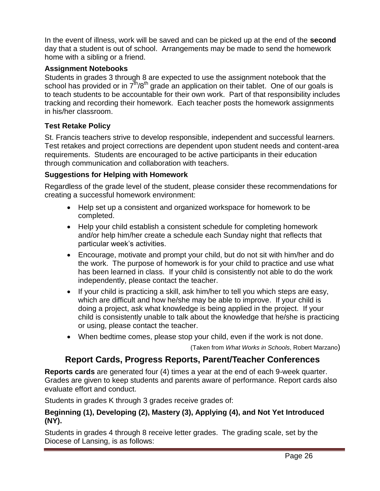In the event of illness, work will be saved and can be picked up at the end of the **second** day that a student is out of school. Arrangements may be made to send the homework home with a sibling or a friend.

#### **Assignment Notebooks**

Students in grades 3 through 8 are expected to use the assignment notebook that the school has provided or in  $7<sup>th</sup>/8<sup>th</sup>$  grade an application on their tablet. One of our goals is to teach students to be accountable for their own work. Part of that responsibility includes tracking and recording their homework. Each teacher posts the homework assignments in his/her classroom.

#### **Test Retake Policy**

St. Francis teachers strive to develop responsible, independent and successful learners. Test retakes and project corrections are dependent upon student needs and content-area requirements. Students are encouraged to be active participants in their education through communication and collaboration with teachers.

#### **Suggestions for Helping with Homework**

Regardless of the grade level of the student, please consider these recommendations for creating a successful homework environment:

- Help set up a consistent and organized workspace for homework to be completed.
- Help your child establish a consistent schedule for completing homework and/or help him/her create a schedule each Sunday night that reflects that particular week's activities.
- Encourage, motivate and prompt your child, but do not sit with him/her and do the work. The purpose of homework is for your child to practice and use what has been learned in class. If your child is consistently not able to do the work independently, please contact the teacher.
- If your child is practicing a skill, ask him/her to tell you which steps are easy, which are difficult and how he/she may be able to improve. If your child is doing a project, ask what knowledge is being applied in the project. If your child is consistently unable to talk about the knowledge that he/she is practicing or using, please contact the teacher.
- When bedtime comes, please stop your child, even if the work is not done.

(Taken from *What Works in Schools*, Robert Marzano)

# **Report Cards, Progress Reports, Parent/Teacher Conferences**

**Reports cards** are generated four (4) times a year at the end of each 9-week quarter. Grades are given to keep students and parents aware of performance. Report cards also evaluate effort and conduct.

Students in grades K through 3 grades receive grades of:

#### **Beginning (1), Developing (2), Mastery (3), Applying (4), and Not Yet Introduced (NY).**

Students in grades 4 through 8 receive letter grades. The grading scale, set by the Diocese of Lansing, is as follows: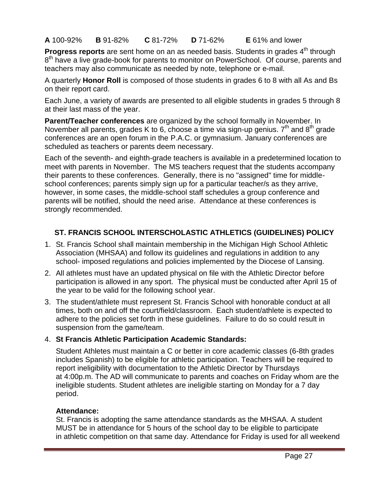**A** 100-92% **B** 91-82% **C** 81-72% **D** 71-62% **E** 61% and lower

Progress reports are sent home on an as needed basis. Students in grades 4<sup>th</sup> through 8<sup>th</sup> have a live grade-book for parents to monitor on PowerSchool. Of course, parents and teachers may also communicate as needed by note, telephone or e-mail.

A quarterly **Honor Roll** is composed of those students in grades 6 to 8 with all As and Bs on their report card.

Each June, a variety of awards are presented to all eligible students in grades 5 through 8 at their last mass of the year.

**Parent/Teacher conferences** are organized by the school formally in November. In November all parents, grades K to 6, choose a time via sign-up genius.  $7<sup>th</sup>$  and  $8<sup>th</sup>$  grade conferences are an open forum in the P.A.C. or gymnasium. January conferences are scheduled as teachers or parents deem necessary.

Each of the seventh- and eighth-grade teachers is available in a predetermined location to meet with parents in November. The MS teachers request that the students accompany their parents to these conferences. Generally, there is no "assigned" time for middleschool conferences; parents simply sign up for a particular teacher/s as they arrive, however, in some cases, the middle-school staff schedules a group conference and parents will be notified, should the need arise. Attendance at these conferences is strongly recommended.

### **ST. FRANCIS SCHOOL INTERSCHOLASTIC ATHLETICS (GUIDELINES) POLICY**

- 1. St. Francis School shall maintain membership in the Michigan High School Athletic Association (MHSAA) and follow its guidelines and regulations in addition to any school- imposed regulations and policies implemented by the Diocese of Lansing.
- 2. All athletes must have an updated physical on file with the Athletic Director before participation is allowed in any sport. The physical must be conducted after April 15 of the year to be valid for the following school year.
- 3. The student/athlete must represent St. Francis School with honorable conduct at all times, both on and off the court/field/classroom. Each student/athlete is expected to adhere to the policies set forth in these guidelines. Failure to do so could result in suspension from the game/team.

#### 4. **St Francis Athletic Participation Academic Standards:**

Student Athletes must maintain a C or better in core academic classes (6-8th grades includes Spanish) to be eligible for athletic participation. Teachers will be required to report ineligibility with documentation to the Athletic Director by Thursdays at 4:00p.m. The AD will communicate to parents and coaches on Friday whom are the ineligible students. Student athletes are ineligible starting on Monday for a 7 day period.

#### **Attendance:**

St. Francis is adopting the same attendance standards as the MHSAA. A student MUST be in attendance for 5 hours of the school day to be eligible to participate in athletic competition on that same day. Attendance for Friday is used for all weekend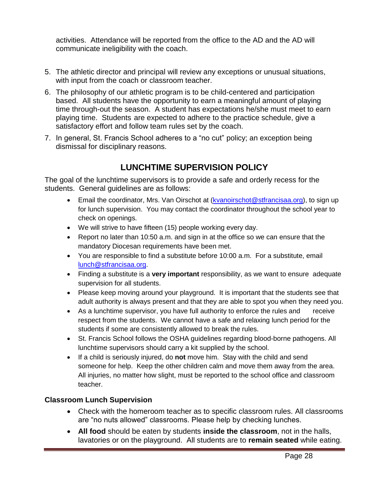activities. Attendance will be reported from the office to the AD and the AD will communicate ineligibility with the coach.

- 5. The athletic director and principal will review any exceptions or unusual situations, with input from the coach or classroom teacher.
- 6. The philosophy of our athletic program is to be child-centered and participation based. All students have the opportunity to earn a meaningful amount of playing time through-out the season. A student has expectations he/she must meet to earn playing time. Students are expected to adhere to the practice schedule, give a satisfactory effort and follow team rules set by the coach.
- 7. In general, St. Francis School adheres to a "no cut" policy; an exception being dismissal for disciplinary reasons.

# **LUNCHTIME SUPERVISION POLICY**

The goal of the lunchtime supervisors is to provide a safe and orderly recess for the students. General guidelines are as follows:

- **Email the coordinator, Mrs. Van Oirschot at [\(kvanoirschot@stfrancisaa.org\)](mailto:kvanoirschot@stfrancisaa.org), to sign up** for lunch supervision. You may contact the coordinator throughout the school year to check on openings.
- We will strive to have fifteen (15) people working every day.
- Report no later than 10:50 a.m. and sign in at the office so we can ensure that the mandatory Diocesan requirements have been met.
- You are responsible to find a substitute before 10:00 a.m. For a substitute, email [lunch@stfrancisaa.org.](mailto:lunch@stfrancisaa.org)
- Finding a substitute is a **very important** responsibility, as we want to ensure adequate supervision for all students.
- Please keep moving around your playground. It is important that the students see that adult authority is always present and that they are able to spot you when they need you.
- As a lunchtime supervisor, you have full authority to enforce the rules and receive respect from the students. We cannot have a safe and relaxing lunch period for the students if some are consistently allowed to break the rules.
- St. Francis School follows the OSHA guidelines regarding blood-borne pathogens. All lunchtime supervisors should carry a kit supplied by the school.
- If a child is seriously injured, do **not** move him. Stay with the child and send someone for help. Keep the other children calm and move them away from the area. All injuries, no matter how slight, must be reported to the school office and classroom teacher.

#### **Classroom Lunch Supervision**

- Check with the homeroom teacher as to specific classroom rules. All classrooms are "no nuts allowed" classrooms. Please help by checking lunches.
- **All food** should be eaten by students **inside the classroom**, not in the halls, lavatories or on the playground. All students are to **remain seated** while eating.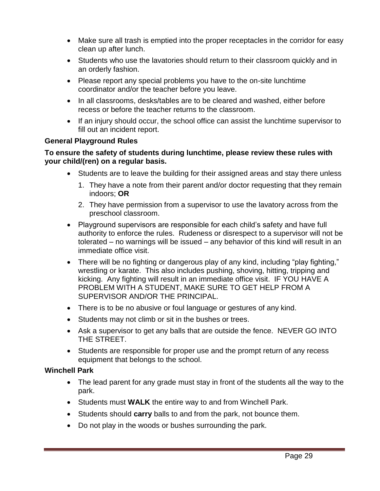- Make sure all trash is emptied into the proper receptacles in the corridor for easy clean up after lunch.
- Students who use the lavatories should return to their classroom quickly and in an orderly fashion.
- Please report any special problems you have to the on-site lunchtime coordinator and/or the teacher before you leave.
- In all classrooms, desks/tables are to be cleared and washed, either before recess or before the teacher returns to the classroom.
- If an injury should occur, the school office can assist the lunchtime supervisor to fill out an incident report.

#### **General Playground Rules**

#### **To ensure the safety of students during lunchtime, please review these rules with your child/(ren) on a regular basis.**

- Students are to leave the building for their assigned areas and stay there unless
	- 1. They have a note from their parent and/or doctor requesting that they remain indoors; **OR**
	- 2. They have permission from a supervisor to use the lavatory across from the preschool classroom.
- Playground supervisors are responsible for each child's safety and have full authority to enforce the rules. Rudeness or disrespect to a supervisor will not be tolerated – no warnings will be issued – any behavior of this kind will result in an immediate office visit.
- There will be no fighting or dangerous play of any kind, including "play fighting," wrestling or karate. This also includes pushing, shoving, hitting, tripping and kicking. Any fighting will result in an immediate office visit. IF YOU HAVE A PROBLEM WITH A STUDENT, MAKE SURE TO GET HELP FROM A SUPERVISOR AND/OR THE PRINCIPAL.
- There is to be no abusive or foul language or gestures of any kind.
- Students may not climb or sit in the bushes or trees.
- Ask a supervisor to get any balls that are outside the fence. NEVER GO INTO THE STREET.
- Students are responsible for proper use and the prompt return of any recess equipment that belongs to the school.

#### **Winchell Park**

- The lead parent for any grade must stay in front of the students all the way to the park.
- Students must **WALK** the entire way to and from Winchell Park.
- Students should **carry** balls to and from the park, not bounce them.
- Do not play in the woods or bushes surrounding the park.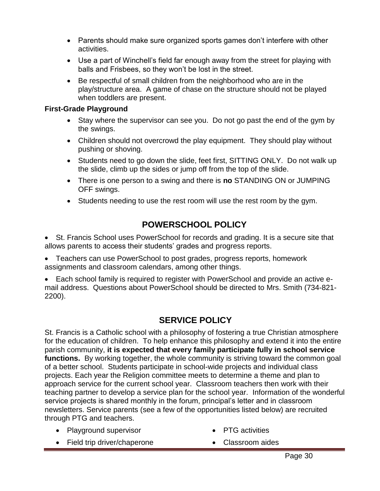- Parents should make sure organized sports games don't interfere with other activities.
- Use a part of Winchell's field far enough away from the street for playing with balls and Frisbees, so they won't be lost in the street.
- Be respectful of small children from the neighborhood who are in the play/structure area. A game of chase on the structure should not be played when toddlers are present.

#### **First-Grade Playground**

- Stay where the supervisor can see you. Do not go past the end of the gym by the swings.
- Children should not overcrowd the play equipment. They should play without pushing or shoving.
- Students need to go down the slide, feet first, SITTING ONLY. Do not walk up the slide, climb up the sides or jump off from the top of the slide.
- There is one person to a swing and there is **no** STANDING ON or JUMPING OFF swings.
- Students needing to use the rest room will use the rest room by the gym.

# **POWERSCHOOL POLICY**

• St. Francis School uses PowerSchool for records and grading. It is a secure site that allows parents to access their students' grades and progress reports.

 Teachers can use PowerSchool to post grades, progress reports, homework assignments and classroom calendars, among other things.

 Each school family is required to register with PowerSchool and provide an active email address. Questions about PowerSchool should be directed to Mrs. Smith (734-821- 2200).

# **SERVICE POLICY**

St. Francis is a Catholic school with a philosophy of fostering a true Christian atmosphere for the education of children. To help enhance this philosophy and extend it into the entire parish community, **it is expected that every family participate fully in school service**  functions. By working together, the whole community is striving toward the common goal of a better school. Students participate in school-wide projects and individual class projects. Each year the Religion committee meets to determine a theme and plan to approach service for the current school year. Classroom teachers then work with their teaching partner to develop a service plan for the school year. Information of the wonderful service projects is shared monthly in the forum, principal's letter and in classroom newsletters. Service parents (see a few of the opportunities listed below) are recruited through PTG and teachers.

• Playground supervisor

- PTG activities
- Field trip driver/chaperone
- Classroom aides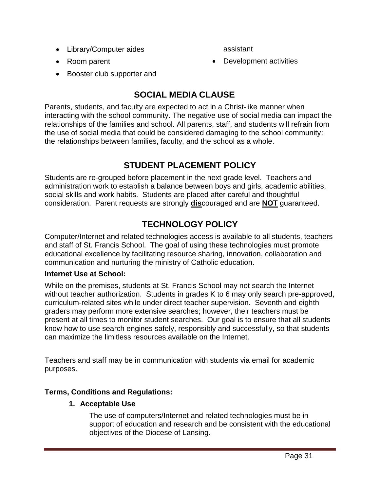• Library/Computer aides

assistant

• Room parent

• Development activities

• Booster club supporter and

# **SOCIAL MEDIA CLAUSE**

Parents, students, and faculty are expected to act in a Christ-like manner when interacting with the school community. The negative use of social media can impact the relationships of the families and school. All parents, staff, and students will refrain from the use of social media that could be considered damaging to the school community: the relationships between families, faculty, and the school as a whole.

# **STUDENT PLACEMENT POLICY**

Students are re-grouped before placement in the next grade level. Teachers and administration work to establish a balance between boys and girls, academic abilities, social skills and work habits. Students are placed after careful and thoughtful consideration. Parent requests are strongly **dis**couraged and are **NOT** guaranteed.

# **TECHNOLOGY POLICY**

Computer/Internet and related technologies access is available to all students, teachers and staff of St. Francis School. The goal of using these technologies must promote educational excellence by facilitating resource sharing, innovation, collaboration and communication and nurturing the ministry of Catholic education.

#### **Internet Use at School:**

While on the premises, students at St. Francis School may not search the Internet without teacher authorization. Students in grades K to 6 may only search pre-approved, curriculum-related sites while under direct teacher supervision. Seventh and eighth graders may perform more extensive searches; however, their teachers must be present at all times to monitor student searches. Our goal is to ensure that all students know how to use search engines safely, responsibly and successfully, so that students can maximize the limitless resources available on the Internet.

Teachers and staff may be in communication with students via email for academic purposes.

#### **Terms, Conditions and Regulations:**

#### **1. Acceptable Use**

The use of computers/Internet and related technologies must be in support of education and research and be consistent with the educational objectives of the Diocese of Lansing.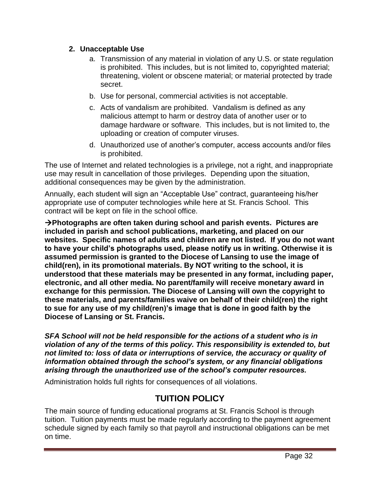#### **2. Unacceptable Use**

- a. Transmission of any material in violation of any U.S. or state regulation is prohibited. This includes, but is not limited to, copyrighted material; threatening, violent or obscene material; or material protected by trade secret.
- b. Use for personal, commercial activities is not acceptable.
- c. Acts of vandalism are prohibited. Vandalism is defined as any malicious attempt to harm or destroy data of another user or to damage hardware or software. This includes, but is not limited to, the uploading or creation of computer viruses.
- d. Unauthorized use of another's computer, access accounts and/or files is prohibited.

The use of Internet and related technologies is a privilege, not a right, and inappropriate use may result in cancellation of those privileges. Depending upon the situation, additional consequences may be given by the administration.

Annually, each student will sign an "Acceptable Use" contract, guaranteeing his/her appropriate use of computer technologies while here at St. Francis School. This contract will be kept on file in the school office.

**Photographs are often taken during school and parish events. Pictures are included in parish and school publications, marketing, and placed on our websites. Specific names of adults and children are not listed. If you do not want to have your child's photographs used, please notify us in writing. Otherwise it is assumed permission is granted to the Diocese of Lansing to use the image of child(ren), in its promotional materials. By NOT writing to the school, it is understood that these materials may be presented in any format, including paper, electronic, and all other media. No parent/family will receive monetary award in exchange for this permission. The Diocese of Lansing will own the copyright to these materials, and parents/families waive on behalf of their child(ren) the right to sue for any use of my child(ren)'s image that is done in good faith by the Diocese of Lansing or St. Francis.** 

*SFA School will not be held responsible for the actions of a student who is in violation of any of the terms of this policy. This responsibility is extended to, but not limited to: loss of data or interruptions of service, the accuracy or quality of information obtained through the school's system, or any financial obligations arising through the unauthorized use of the school's computer resources.*

Administration holds full rights for consequences of all violations.

# **TUITION POLICY**

The main source of funding educational programs at St. Francis School is through tuition. Tuition payments must be made regularly according to the payment agreement schedule signed by each family so that payroll and instructional obligations can be met on time.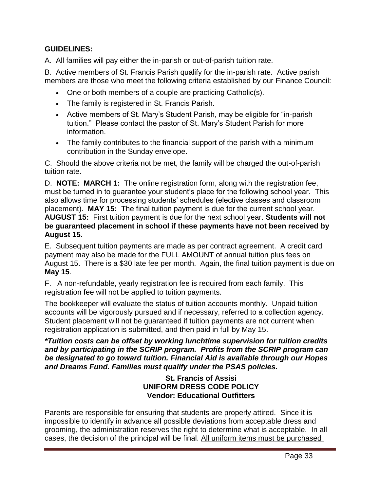#### **GUIDELINES:**

A. All families will pay either the in-parish or out-of-parish tuition rate.

B. Active members of St. Francis Parish qualify for the in-parish rate. Active parish members are those who meet the following criteria established by our Finance Council:

- One or both members of a couple are practicing Catholic(s).
- The family is registered in St. Francis Parish.
- Active members of St. Mary's Student Parish, may be eligible for "in-parish tuition." Please contact the pastor of St. Mary's Student Parish for more information.
- The family contributes to the financial support of the parish with a minimum contribution in the Sunday envelope.

C. Should the above criteria not be met, the family will be charged the out-of-parish tuition rate.

D. **NOTE: MARCH 1:** The online registration form, along with the registration fee, must be turned in to guarantee your student's place for the following school year. This also allows time for processing students' schedules (elective classes and classroom placement). **MAY 15:** The final tuition payment is due for the current school year. **AUGUST 15:** First tuition payment is due for the next school year. **Students will not be guaranteed placement in school if these payments have not been received by August 15.**

E. Subsequent tuition payments are made as per contract agreement. A credit card payment may also be made for the FULL AMOUNT of annual tuition plus fees on August 15. There is a \$30 late fee per month. Again, the final tuition payment is due on **May 15**.

F. A non-refundable, yearly registration fee is required from each family. This registration fee will not be applied to tuition payments.

The bookkeeper will evaluate the status of tuition accounts monthly. Unpaid tuition accounts will be vigorously pursued and if necessary, referred to a collection agency. Student placement will not be guaranteed if tuition payments are not current when registration application is submitted, and then paid in full by May 15.

#### *\*Tuition costs can be offset by working lunchtime supervision for tuition credits and by participating in the SCRIP program. Profits from the SCRIP program can be designated to go toward tuition. Financial Aid is available through our Hopes and Dreams Fund. Families must qualify under the PSAS policies.*

#### **St. Francis of Assisi UNIFORM DRESS CODE POLICY Vendor: Educational Outfitters**

Parents are responsible for ensuring that students are properly attired. Since it is impossible to identify in advance all possible deviations from acceptable dress and grooming, the administration reserves the right to determine what is acceptable. In all cases, the decision of the principal will be final. All uniform items must be purchased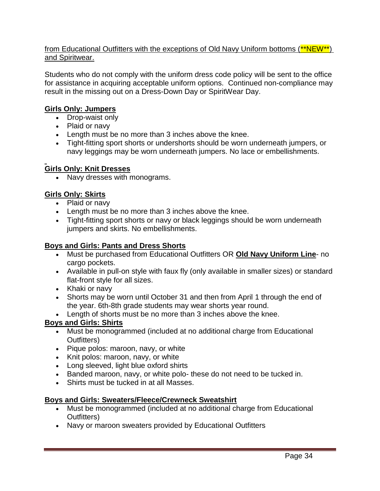#### from Educational Outfitters with the exceptions of Old Navy Uniform bottoms (\*\*NEW\*\*) and Spiritwear.

Students who do not comply with the uniform dress code policy will be sent to the office for assistance in acquiring acceptable uniform options. Continued non-compliance may result in the missing out on a Dress-Down Day or SpiritWear Day.

#### **Girls Only: Jumpers**

- Drop-waist only
- Plaid or navy
- Length must be no more than 3 inches above the knee.
- Tight-fitting sport shorts or undershorts should be worn underneath jumpers, or navy leggings may be worn underneath jumpers. No lace or embellishments.

#### **Girls Only: Knit Dresses**

• Navy dresses with monograms.

#### **Girls Only: Skirts**

- Plaid or navy
- Length must be no more than 3 inches above the knee.
- Tight-fitting sport shorts or navy or black leggings should be worn underneath jumpers and skirts. No embellishments.

#### **Boys and Girls: Pants and Dress Shorts**

- Must be purchased from Educational Outfitters OR **Old Navy Uniform Line** no cargo pockets.
- Available in pull-on style with faux fly (only available in smaller sizes) or standard flat-front style for all sizes.
- Khaki or navy
- Shorts may be worn until October 31 and then from April 1 through the end of the year. 6th-8th grade students may wear shorts year round.
- Length of shorts must be no more than 3 inches above the knee.

#### **Boys and Girls: Shirts**

- Must be monogrammed (included at no additional charge from Educational Outfitters)
- Pique polos: maroon, navy, or white
- Knit polos: maroon, navy, or white
- Long sleeved, light blue oxford shirts
- Banded maroon, navy, or white polo- these do not need to be tucked in.
- Shirts must be tucked in at all Masses.

#### **Boys and Girls: Sweaters/Fleece/Crewneck Sweatshirt**

- Must be monogrammed (included at no additional charge from Educational Outfitters)
- Navy or maroon sweaters provided by Educational Outfitters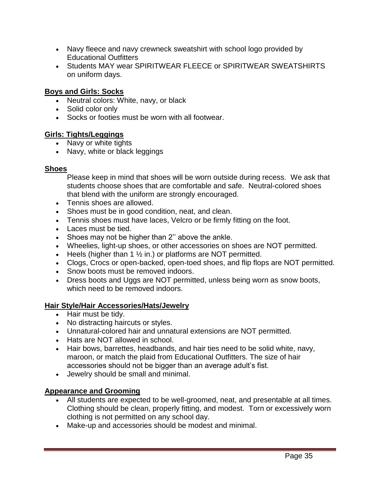- Navy fleece and navy crewneck sweatshirt with school logo provided by Educational Outfitters
- Students MAY wear SPIRITWEAR FLEECE or SPIRITWEAR SWEATSHIRTS on uniform days.

#### **Boys and Girls: Socks**

- Neutral colors: White, navy, or black
- Solid color only
- Socks or footies must be worn with all footwear.

#### **Girls: Tights/Leggings**

- Navy or white tights
- Navy, white or black leggings

#### **Shoes**

Please keep in mind that shoes will be worn outside during recess. We ask that students choose shoes that are comfortable and safe. Neutral-colored shoes that blend with the uniform are strongly encouraged.

- Tennis shoes are allowed.
- Shoes must be in good condition, neat, and clean.
- Tennis shoes must have laces, Velcro or be firmly fitting on the foot.
- Laces must be tied.
- Shoes may not be higher than 2" above the ankle.
- Wheelies, light-up shoes, or other accessories on shoes are NOT permitted.
- Heels (higher than 1  $\frac{1}{2}$  in.) or platforms are NOT permitted.
- Clogs, Crocs or open-backed, open-toed shoes, and flip flops are NOT permitted.
- Snow boots must be removed indoors.
- Dress boots and Uggs are NOT permitted, unless being worn as snow boots, which need to be removed indoors.

#### **Hair Style/Hair Accessories/Hats/Jewelry**

- Hair must be tidy.
- No distracting haircuts or styles.
- Unnatural-colored hair and unnatural extensions are NOT permitted.
- Hats are NOT allowed in school.
- Hair bows, barrettes, headbands, and hair ties need to be solid white, navy, maroon, or match the plaid from Educational Outfitters. The size of hair accessories should not be bigger than an average adult's fist.
- Jewelry should be small and minimal.

#### **Appearance and Grooming**

- All students are expected to be well-groomed, neat, and presentable at all times. Clothing should be clean, properly fitting, and modest. Torn or excessively worn clothing is not permitted on any school day.
- Make-up and accessories should be modest and minimal.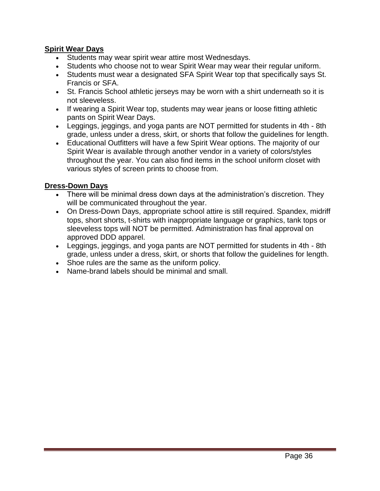#### **Spirit Wear Days**

- Students may wear spirit wear attire most Wednesdays.
- Students who choose not to wear Spirit Wear may wear their regular uniform.
- Students must wear a designated SFA Spirit Wear top that specifically says St. Francis or SFA.
- St. Francis School athletic jerseys may be worn with a shirt underneath so it is not sleeveless.
- If wearing a Spirit Wear top, students may wear jeans or loose fitting athletic pants on Spirit Wear Days.
- Leggings, jeggings, and yoga pants are NOT permitted for students in 4th 8th grade, unless under a dress, skirt, or shorts that follow the guidelines for length.
- Educational Outfitters will have a few Spirit Wear options. The majority of our Spirit Wear is available through another vendor in a variety of colors/styles throughout the year. You can also find items in the school uniform closet with various styles of screen prints to choose from.

#### **Dress-Down Days**

- There will be minimal dress down days at the administration's discretion. They will be communicated throughout the year.
- On Dress-Down Days, appropriate school attire is still required. Spandex, midriff tops, short shorts, t-shirts with inappropriate language or graphics, tank tops or sleeveless tops will NOT be permitted. Administration has final approval on approved DDD apparel.
- Leggings, jeggings, and yoga pants are NOT permitted for students in 4th 8th grade, unless under a dress, skirt, or shorts that follow the guidelines for length.
- Shoe rules are the same as the uniform policy.
- Name-brand labels should be minimal and small.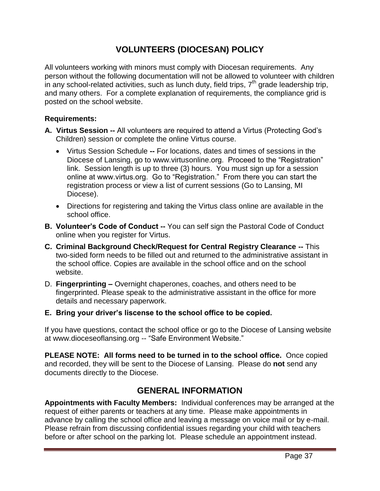# **VOLUNTEERS (DIOCESAN) POLICY**

All volunteers working with minors must comply with Diocesan requirements. Any person without the following documentation will not be allowed to volunteer with children .<br>in any school-related activities, such as lunch duty, field trips, 7<sup>th</sup> grade leadership trip, and many others. For a complete explanation of requirements, the compliance grid is posted on the school website.

#### **Requirements:**

- **A. Virtus Session --** All volunteers are required to attend a Virtus (Protecting God's Children) session or complete the online Virtus course.
	- Virtus Session Schedule **--** For locations, dates and times of sessions in the Diocese of Lansing, go to www.virtusonline.org. Proceed to the "Registration" link. Session length is up to three (3) hours. You must sign up for a session online at www.virtus.org. Go to "Registration." From there you can start the registration process or view a list of current sessions (Go to Lansing, MI Diocese).
	- Directions for registering and taking the Virtus class online are available in the school office.
- **B. Volunteer's Code of Conduct --** You can self sign the Pastoral Code of Conduct online when you register for Virtus.
- **C. Criminal Background Check/Request for Central Registry Clearance --** This two-sided form needs to be filled out and returned to the administrative assistant in the school office. Copies are available in the school office and on the school website.
- D. **Fingerprinting –** Overnight chaperones, coaches, and others need to be fingerprinted. Please speak to the administrative assistant in the office for more details and necessary paperwork.
- **E. Bring your driver's liscense to the school office to be copied.**

If you have questions, contact the school office or go to the Diocese of Lansing website at www.dioceseoflansing.org -- "Safe Environment Website."

**PLEASE NOTE: All forms need to be turned in to the school office.** Once copied and recorded, they will be sent to the Diocese of Lansing. Please do **not** send any documents directly to the Diocese.

# **GENERAL INFORMATION**

**Appointments with Faculty Members:** Individual conferences may be arranged at the request of either parents or teachers at any time. Please make appointments in advance by calling the school office and leaving a message on voice mail or by e-mail. Please refrain from discussing confidential issues regarding your child with teachers before or after school on the parking lot. Please schedule an appointment instead.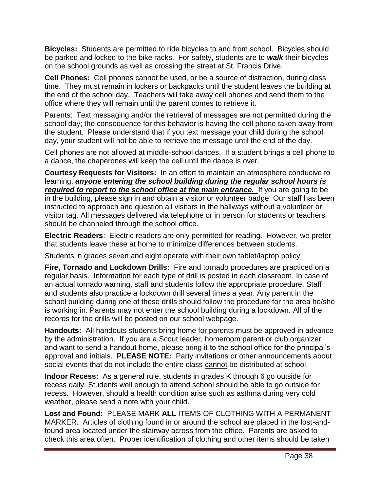**Bicycles:** Students are permitted to ride bicycles to and from school. Bicycles should be parked and locked to the bike racks. For safety, students are to *walk* their bicycles on the school grounds as well as crossing the street at St. Francis Drive.

**Cell Phones:** Cell phones cannot be used, or be a source of distraction, during class time. They must remain in lockers or backpacks until the student leaves the building at the end of the school day. Teachers will take away cell phones and send them to the office where they will remain until the parent comes to retrieve it.

Parents: Text messaging and/or the retrieval of messages are not permitted during the school day; the consequence for this behavior is having the cell phone taken away from the student. Please understand that if you text message your child during the school day, your student will not be able to retrieve the message until the end of the day.

Cell phones are not allowed at middle-school dances. If a student brings a cell phone to a dance, the chaperones will keep the cell until the dance is over.

**Courtesy Requests for Visitors:** In an effort to maintain an atmosphere conducive to learning, *anyone entering the school building during the regular school hours is required to report to the school office at the main entrance.* If you are going to be in the building, please sign in and obtain a visitor or volunteer badge. Our staff has been instructed to approach and question all visitors in the hallways without a volunteer or visitor tag. All messages delivered via telephone or in person for students or teachers should be channeled through the school office.

**Electric Readers**: Electric readers are only permitted for reading. However, we prefer that students leave these at home to minimize differences between students.

Students in grades seven and eight operate with their own tablet/laptop policy.

**Fire, Tornado and Lockdown Drills:** Fire and tornado procedures are practiced on a regular basis. Information for each type of drill is posted in each classroom. In case of an actual tornado warning, staff and students follow the appropriate procedure. Staff and students also practice a lockdown drill several times a year. Any parent in the school building during one of these drills should follow the procedure for the area he/she is working in. Parents may not enter the school building during a lockdown. All of the records for the drills will be posted on our school webpage.

**Handouts:** All handouts students bring home for parents must be approved in advance by the administration. If you are a Scout leader, homeroom parent or club organizer and want to send a handout home, please bring it to the school office for the principal's approval and initials. **PLEASE NOTE:** Party invitations or other announcements about social events that do not include the entire class cannot be distributed at school.

**Indoor Recess:** As a general rule, students in grades K through 6 go outside for recess daily. Students well enough to attend school should be able to go outside for recess. However, should a health condition arise such as asthma during very cold weather, please send a note with your child.

**Lost and Found:** PLEASE MARK **ALL** ITEMS OF CLOTHING WITH A PERMANENT MARKER. Articles of clothing found in or around the school are placed in the lost-andfound area located under the stairway across from the office. Parents are asked to check this area often. Proper identification of clothing and other items should be taken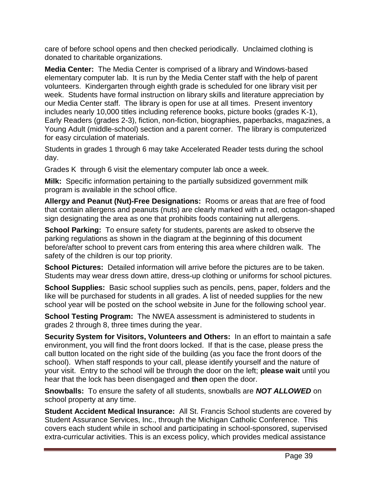care of before school opens and then checked periodically. Unclaimed clothing is donated to charitable organizations.

**Media Center:** The Media Center is comprised of a library and Windows-based elementary computer lab. It is run by the Media Center staff with the help of parent volunteers. Kindergarten through eighth grade is scheduled for one library visit per week. Students have formal instruction on library skills and literature appreciation by our Media Center staff. The library is open for use at all times. Present inventory includes nearly 10,000 titles including reference books, picture books (grades K-1), Early Readers (grades 2-3), fiction, non-fiction, biographies, paperbacks, magazines, a Young Adult (middle-school) section and a parent corner. The library is computerized for easy circulation of materials.

Students in grades 1 through 6 may take Accelerated Reader tests during the school day.

Grades K through 6 visit the elementary computer lab once a week.

**Milk:** Specific information pertaining to the partially subsidized government milk program is available in the school office.

**Allergy and Peanut (Nut)-Free Designations:** Rooms or areas that are free of food that contain allergens and peanuts (nuts) are clearly marked with a red, octagon-shaped sign designating the area as one that prohibits foods containing nut allergens.

**School Parking:** To ensure safety for students, parents are asked to observe the parking regulations as shown in the diagram at the beginning of this document before/after school to prevent cars from entering this area where children walk. The safety of the children is our top priority.

**School Pictures:** Detailed information will arrive before the pictures are to be taken. Students may wear dress down attire, dress-up clothing or uniforms for school pictures.

**School Supplies:** Basic school supplies such as pencils, pens, paper, folders and the like will be purchased for students in all grades. A list of needed supplies for the new school year will be posted on the school website in June for the following school year.

**School Testing Program:** The NWEA assessment is administered to students in grades 2 through 8, three times during the year.

**Security System for Visitors, Volunteers and Others:** In an effort to maintain a safe environment, you will find the front doors locked. If that is the case, please press the call button located on the right side of the building (as you face the front doors of the school). When staff responds to your call, please identify yourself and the nature of your visit. Entry to the school will be through the door on the left; **please wait** until you hear that the lock has been disengaged and **then** open the door.

**Snowballs:** To ensure the safety of all students, snowballs are *NOT ALLOWED* on school property at any time.

**Student Accident Medical Insurance:** All St. Francis School students are covered by Student Assurance Services, Inc., through the Michigan Catholic Conference. This covers each student while in school and participating in school-sponsored, supervised extra-curricular activities. This is an excess policy, which provides medical assistance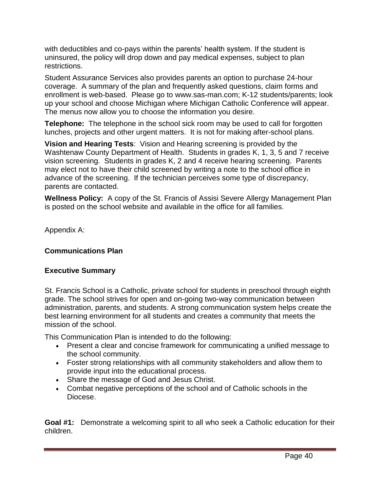with deductibles and co-pays within the parents' health system. If the student is uninsured, the policy will drop down and pay medical expenses, subject to plan restrictions.

Student Assurance Services also provides parents an option to purchase 24-hour coverage. A summary of the plan and frequently asked questions, claim forms and enrollment is web-based. Please go to www.sas-man.com; K-12 students/parents; look up your school and choose Michigan where Michigan Catholic Conference will appear. The menus now allow you to choose the information you desire.

**Telephone:** The telephone in the school sick room may be used to call for forgotten lunches, projects and other urgent matters. It is not for making after-school plans.

**Vision and Hearing Tests**: Vision and Hearing screening is provided by the Washtenaw County Department of Health. Students in grades K, 1, 3, 5 and 7 receive vision screening. Students in grades K, 2 and 4 receive hearing screening. Parents may elect not to have their child screened by writing a note to the school office in advance of the screening. If the technician perceives some type of discrepancy, parents are contacted.

**Wellness Policy:** A copy of the St. Francis of Assisi Severe Allergy Management Plan is posted on the school website and available in the office for all families.

Appendix A:

#### **Communications Plan**

#### **Executive Summary**

St. Francis School is a Catholic, private school for students in preschool through eighth grade. The school strives for open and on-going two-way communication between administration, parents, and students. A strong communication system helps create the best learning environment for all students and creates a community that meets the mission of the school.

This Communication Plan is intended to do the following:

- Present a clear and concise framework for communicating a unified message to the school community.
- Foster strong relationships with all community stakeholders and allow them to provide input into the educational process.
- Share the message of God and Jesus Christ.
- Combat negative perceptions of the school and of Catholic schools in the Diocese.

**Goal #1:** Demonstrate a welcoming spirit to all who seek a Catholic education for their children.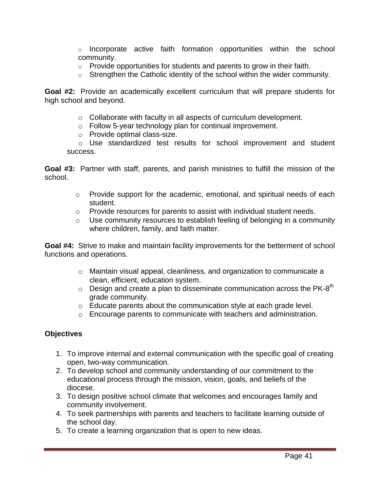$\circ$  Incorporate active faith formation opportunities within the school community.

- $\circ$  Provide opportunities for students and parents to grow in their faith.
- $\circ$  Strengthen the Catholic identity of the school within the wider community.

**Goal #2:** Provide an academically excellent curriculum that will prepare students for high school and beyond.

- o Collaborate with faculty in all aspects of curriculum development.
- o Follow 5-year technology plan for continual improvement.
- o Provide optimal class-size.

o Use standardized test results for school improvement and student success.

**Goal #3:** Partner with staff, parents, and parish ministries to fulfill the mission of the school.

- o Provide support for the academic, emotional, and spiritual needs of each student.
- o Provide resources for parents to assist with individual student needs.
- o Use community resources to establish feeling of belonging in a community where children, family, and faith matter.

**Goal #4:** Strive to make and maintain facility improvements for the betterment of school functions and operations.

- $\circ$  Maintain visual appeal, cleanliness, and organization to communicate a clean, efficient, education system.
- $\circ$  Design and create a plan to disseminate communication across the PK-8<sup>th</sup> grade community.
- o Educate parents about the communication style at each grade level.
- o Encourage parents to communicate with teachers and administration.

#### **Objectives**

- 1. To improve internal and external communication with the specific goal of creating open, two-way communication.
- 2. To develop school and community understanding of our commitment to the educational process through the mission, vision, goals, and beliefs of the diocese.
- 3. To design positive school climate that welcomes and encourages family and community involvement.
- 4. To seek partnerships with parents and teachers to facilitate learning outside of the school day.
- 5. To create a learning organization that is open to new ideas.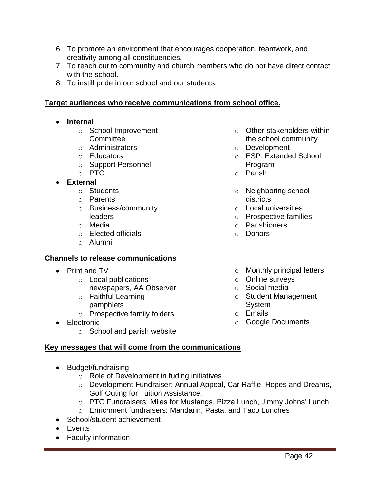- 6. To promote an environment that encourages cooperation, teamwork, and creativity among all constituencies.
- 7. To reach out to community and church members who do not have direct contact with the school.
- 8. To instill pride in our school and our students.

#### **Target audiences who receive communications from school office.**

- **Internal**
	- o School Improvement **Committee**
	- o Administrators
	- o Educators
	- o Support Personnel
	- o PTG
- **External**
	- o Students
	- o Parents
	- o Business/community leaders
	- o Media
	- o Elected officials
	- o Alumni

#### **Channels to release communications**

- Print and TV
	- o Local publicationsnewspapers, AA Observer
	- o Faithful Learning pamphlets
	- o Prospective family folders
- Electronic
	- o School and parish website

#### **Key messages that will come from the communications**

- Budget/fundraising
	- o Role of Development in fuding initiatives
	- o Development Fundraiser: Annual Appeal, Car Raffle, Hopes and Dreams, Golf Outing for Tuition Assistance.
	- o PTG Fundraisers: Miles for Mustangs, Pizza Lunch, Jimmy Johns' Lunch
	- o Enrichment fundraisers: Mandarin, Pasta, and Taco Lunches
- School/student achievement
- Events
- Faculty information
- o Other stakeholders within the school community
- o Development
- o ESP: Extended School Program
- o Parish
- o Neighboring school districts
- o Local universities
- o Prospective families
- o Parishioners
- o Donors
- o Monthly principal letters
- o Online surveys
- o Social media
- o Student Management System
- o Emails
- o Google Documents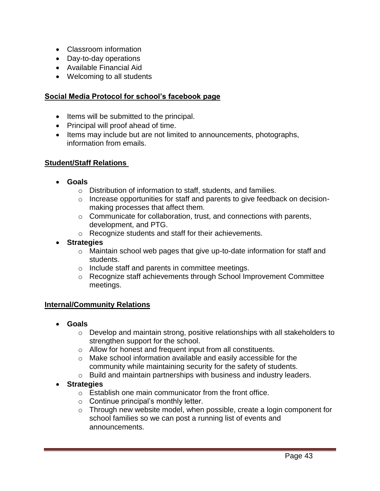- Classroom information
- Day-to-day operations
- Available Financial Aid
- Welcoming to all students

#### **Social Media Protocol for school's facebook page**

- Items will be submitted to the principal.
- Principal will proof ahead of time.
- Items may include but are not limited to announcements, photographs, information from emails.

#### **Student/Staff Relations**

- **Goals**
	- o Distribution of information to staff, students, and families.
	- o Increase opportunities for staff and parents to give feedback on decisionmaking processes that affect them.
	- o Communicate for collaboration, trust, and connections with parents, development, and PTG.
	- o Recognize students and staff for their achievements.
- **Strategies**
	- o Maintain school web pages that give up-to-date information for staff and students.
	- o Include staff and parents in committee meetings.
	- o Recognize staff achievements through School Improvement Committee meetings.

#### **Internal/Community Relations**

- **Goals**
	- o Develop and maintain strong, positive relationships with all stakeholders to strengthen support for the school.
	- o Allow for honest and frequent input from all constituents.
	- o Make school information available and easily accessible for the community while maintaining security for the safety of students.
	- o Build and maintain partnerships with business and industry leaders.
- **Strategies**
	- o Establish one main communicator from the front office.
	- o Continue principal's monthly letter.
	- o Through new website model, when possible, create a login component for school families so we can post a running list of events and announcements.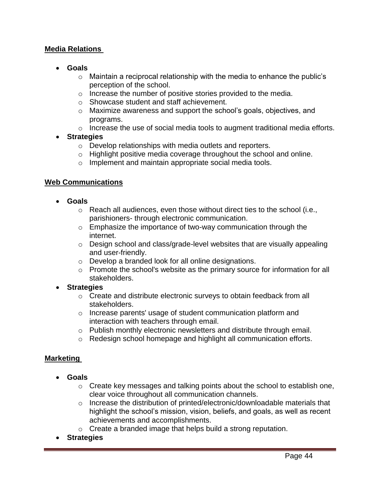#### **Media Relations**

- **Goals**
	- $\circ$  Maintain a reciprocal relationship with the media to enhance the public's perception of the school.
	- o Increase the number of positive stories provided to the media.
	- o Showcase student and staff achievement.
	- $\circ$  Maximize awareness and support the school's goals, objectives, and programs.
	- o Increase the use of social media tools to augment traditional media efforts.

#### **Strategies**

- o Develop relationships with media outlets and reporters.
- o Highlight positive media coverage throughout the school and online.
- o Implement and maintain appropriate social media tools.

#### **Web Communications**

- **Goals**
	- $\circ$  Reach all audiences, even those without direct ties to the school (i.e., parishioners- through electronic communication.
	- $\circ$  Emphasize the importance of two-way communication through the internet.
	- o Design school and class/grade-level websites that are visually appealing and user-friendly.
	- o Develop a branded look for all online designations.
	- o Promote the school's website as the primary source for information for all stakeholders.
- **Strategies**
	- $\circ$  Create and distribute electronic surveys to obtain feedback from all stakeholders.
	- o Increase parents' usage of student communication platform and interaction with teachers through email.
	- $\circ$  Publish monthly electronic newsletters and distribute through email.
	- o Redesign school homepage and highlight all communication efforts.

#### **Marketing**

- **Goals**
	- $\circ$  Create key messages and talking points about the school to establish one, clear voice throughout all communication channels.
	- o Increase the distribution of printed/electronic/downloadable materials that highlight the school's mission, vision, beliefs, and goals, as well as recent achievements and accomplishments.
	- o Create a branded image that helps build a strong reputation.
- **Strategies**